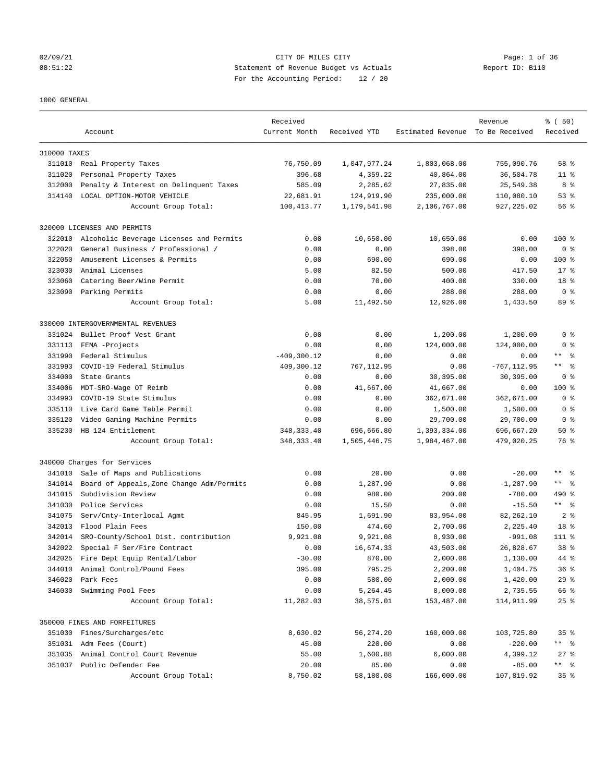## 02/09/21 Page: 1 of 36 08:51:22 Statement of Revenue Budget vs Actuals Report ID: B110 For the Accounting Period: 12 / 20

## 1000 GENERAL

| Estimated Revenue To Be Received<br>Received<br>Current Month<br>Received YTD<br>Account<br>310000 TAXES<br>76,750.09<br>311010 Real Property Taxes<br>1,047,977.24<br>1,803,068.00<br>755,090.76<br>58 %<br>Personal Property Taxes<br>396.68<br>4,359.22<br>40,864.00<br>36,504.78<br>311020<br>$11$ %<br>312000<br>Penalty & Interest on Delinquent Taxes<br>585.09<br>2,285.62<br>27,835.00<br>25,549.38<br>8 %<br>314140<br>LOCAL OPTION-MOTOR VEHICLE<br>22,681.91<br>124,919.90<br>235,000.00<br>110,080.10<br>53%<br>100, 413.77<br>927, 225.02<br>Account Group Total:<br>1,179,541.98<br>2,106,767.00<br>56 %<br>320000 LICENSES AND PERMITS<br>0.00<br>10,650.00<br>$100$ %<br>322010<br>Alcoholic Beverage Licenses and Permits<br>10,650.00<br>0.00<br>322020<br>General Business / Professional /<br>0.00<br>398.00<br>398.00<br>0 <sup>8</sup><br>0.00<br>322050<br>Amusement Licenses & Permits<br>690.00<br>690.00<br>$100$ %<br>0.00<br>0.00<br>323030<br>Animal Licenses<br>5.00<br>82.50<br>417.50<br>$17*$<br>500.00<br>323060<br>Catering Beer/Wine Permit<br>0.00<br>70.00<br>400.00<br>330.00<br>18 %<br>323090<br>Parking Permits<br>0.00<br>0.00<br>288.00<br>0 <sup>8</sup><br>288.00<br>5.00<br>12,926.00<br>89 %<br>Account Group Total:<br>11,492.50<br>1,433.50<br>330000 INTERGOVERNMENTAL REVENUES<br>Bullet Proof Vest Grant<br>0.00<br>0.00<br>1,200.00<br>1,200.00<br>0 <sup>8</sup><br>331024<br>331113<br>FEMA -Projects<br>0.00<br>0.00<br>124,000.00<br>124,000.00<br>0 <sup>8</sup><br>331990<br>Federal Stimulus<br>$-409, 300.12$<br>0.00<br>0.00<br>$\star\star$<br>- 응<br>0.00<br>331993<br>COVID-19 Federal Stimulus<br>409,300.12<br>$-767, 112.95$<br>$***$ $ -$<br>767,112.95<br>0.00<br>334000<br>State Grants<br>0.00<br>30,395.00<br>0 <sup>8</sup><br>0.00<br>30,395.00<br>334006<br>MDT-SRO-Wage OT Reimb<br>0.00<br>41,667.00<br>41,667.00<br>$100$ %<br>0.00<br>334993<br>COVID-19 State Stimulus<br>0.00<br>0.00<br>362,671.00<br>362,671.00<br>0 <sup>8</sup><br>335110<br>Live Card Game Table Permit<br>0.00<br>1,500.00<br>1,500.00<br>0 <sup>8</sup><br>0.00<br>Video Gaming Machine Permits<br>0.00<br>29,700.00<br>29,700.00<br>0 <sup>8</sup><br>335120<br>0.00<br>HB 124 Entitlement<br>348, 333.40<br>696,666.80<br>1,393,334.00<br>335230<br>696,667.20<br>$50*$<br>348, 333.40<br>Account Group Total:<br>1,505,446.75<br>1,984,467.00<br>479,020.25<br>76 %<br>340000 Charges for Services<br>$***$ $ -$<br>Sale of Maps and Publications<br>0.00<br>20.00<br>0.00<br>341010<br>$-20.00$<br>$***$ $ -$<br>Board of Appeals, Zone Change Adm/Permits<br>0.00<br>1,287.90<br>0.00<br>$-1, 287.90$<br>341014<br>341015<br>Subdivision Review<br>0.00<br>980.00<br>200.00<br>$-780.00$<br>490 %<br>$***$ $ -$<br>341030<br>Police Services<br>0.00<br>15.50<br>0.00<br>$-15.50$<br>341075<br>845.95<br>1,691.90<br>83,954.00<br>82,262.10<br>2 <sub>8</sub><br>Serv/Cnty-Interlocal Agmt<br>342013<br>Flood Plain Fees<br>150.00<br>474.60<br>2,700.00<br>2,225.40<br>18 %<br>SRO-County/School Dist. contribution<br>9,921.08<br>9,921.08<br>$111$ %<br>342014<br>8,930.00<br>$-991.08$<br>342022<br>Special F Ser/Fire Contract<br>0.00<br>16,674.33<br>43,503.00<br>26,828.67<br>38 %<br>342025 Fire Dept Equip Rental/Labor<br>$-30.00$<br>870.00<br>2,000.00<br>1,130.00<br>44 %<br>344010<br>Animal Control/Pound Fees<br>395.00<br>795.25<br>2,200.00<br>1,404.75<br>36%<br>346020<br>Park Fees<br>0.00<br>580.00<br>2,000.00<br>1,420.00<br>29%<br>Swimming Pool Fees<br>0.00<br>66 %<br>346030<br>5,264.45<br>8,000.00<br>2,735.55<br>Account Group Total:<br>11,282.03<br>38,575.01<br>$25$ $%$<br>153,487.00<br>114,911.99<br>350000 FINES AND FORFEITURES<br>351030 Fines/Surcharges/etc<br>8,630.02<br>56,274.20<br>160,000.00<br>35 <sup>8</sup><br>103,725.80<br>351031 Adm Fees (Court)<br>45.00<br>220.00<br>0.00<br>$-220.00$<br>** 응<br>Animal Control Court Revenue<br>55.00<br>1,600.88<br>6,000.00<br>4,399.12<br>$27$ %<br>351035<br>351037 Public Defender Fee<br>20.00<br>85.00<br>0.00<br>$-85.00$<br>Account Group Total:<br>8,750.02<br>58,180.08<br>166,000.00<br>107,819.92<br>35% |  | Received |  | Revenue | % (50) |
|------------------------------------------------------------------------------------------------------------------------------------------------------------------------------------------------------------------------------------------------------------------------------------------------------------------------------------------------------------------------------------------------------------------------------------------------------------------------------------------------------------------------------------------------------------------------------------------------------------------------------------------------------------------------------------------------------------------------------------------------------------------------------------------------------------------------------------------------------------------------------------------------------------------------------------------------------------------------------------------------------------------------------------------------------------------------------------------------------------------------------------------------------------------------------------------------------------------------------------------------------------------------------------------------------------------------------------------------------------------------------------------------------------------------------------------------------------------------------------------------------------------------------------------------------------------------------------------------------------------------------------------------------------------------------------------------------------------------------------------------------------------------------------------------------------------------------------------------------------------------------------------------------------------------------------------------------------------------------------------------------------------------------------------------------------------------------------------------------------------------------------------------------------------------------------------------------------------------------------------------------------------------------------------------------------------------------------------------------------------------------------------------------------------------------------------------------------------------------------------------------------------------------------------------------------------------------------------------------------------------------------------------------------------------------------------------------------------------------------------------------------------------------------------------------------------------------------------------------------------------------------------------------------------------------------------------------------------------------------------------------------------------------------------------------------------------------------------------------------------------------------------------------------------------------------------------------------------------------------------------------------------------------------------------------------------------------------------------------------------------------------------------------------------------------------------------------------------------------------------------------------------------------------------------------------------------------------------------------------------------------------------------------------------------------------------------------------------------------------------------------------------------------------------------------------------------------------------------------------------------------------------------------------------------------------------------------------------------------------------------------------------------------------------------------------------------------------------------------------------------------------------------------------------------------------|--|----------|--|---------|--------|
|                                                                                                                                                                                                                                                                                                                                                                                                                                                                                                                                                                                                                                                                                                                                                                                                                                                                                                                                                                                                                                                                                                                                                                                                                                                                                                                                                                                                                                                                                                                                                                                                                                                                                                                                                                                                                                                                                                                                                                                                                                                                                                                                                                                                                                                                                                                                                                                                                                                                                                                                                                                                                                                                                                                                                                                                                                                                                                                                                                                                                                                                                                                                                                                                                                                                                                                                                                                                                                                                                                                                                                                                                                                                                                                                                                                                                                                                                                                                                                                                                                                                                                                                                                                    |  |          |  |         |        |
|                                                                                                                                                                                                                                                                                                                                                                                                                                                                                                                                                                                                                                                                                                                                                                                                                                                                                                                                                                                                                                                                                                                                                                                                                                                                                                                                                                                                                                                                                                                                                                                                                                                                                                                                                                                                                                                                                                                                                                                                                                                                                                                                                                                                                                                                                                                                                                                                                                                                                                                                                                                                                                                                                                                                                                                                                                                                                                                                                                                                                                                                                                                                                                                                                                                                                                                                                                                                                                                                                                                                                                                                                                                                                                                                                                                                                                                                                                                                                                                                                                                                                                                                                                                    |  |          |  |         |        |
|                                                                                                                                                                                                                                                                                                                                                                                                                                                                                                                                                                                                                                                                                                                                                                                                                                                                                                                                                                                                                                                                                                                                                                                                                                                                                                                                                                                                                                                                                                                                                                                                                                                                                                                                                                                                                                                                                                                                                                                                                                                                                                                                                                                                                                                                                                                                                                                                                                                                                                                                                                                                                                                                                                                                                                                                                                                                                                                                                                                                                                                                                                                                                                                                                                                                                                                                                                                                                                                                                                                                                                                                                                                                                                                                                                                                                                                                                                                                                                                                                                                                                                                                                                                    |  |          |  |         |        |
|                                                                                                                                                                                                                                                                                                                                                                                                                                                                                                                                                                                                                                                                                                                                                                                                                                                                                                                                                                                                                                                                                                                                                                                                                                                                                                                                                                                                                                                                                                                                                                                                                                                                                                                                                                                                                                                                                                                                                                                                                                                                                                                                                                                                                                                                                                                                                                                                                                                                                                                                                                                                                                                                                                                                                                                                                                                                                                                                                                                                                                                                                                                                                                                                                                                                                                                                                                                                                                                                                                                                                                                                                                                                                                                                                                                                                                                                                                                                                                                                                                                                                                                                                                                    |  |          |  |         |        |
|                                                                                                                                                                                                                                                                                                                                                                                                                                                                                                                                                                                                                                                                                                                                                                                                                                                                                                                                                                                                                                                                                                                                                                                                                                                                                                                                                                                                                                                                                                                                                                                                                                                                                                                                                                                                                                                                                                                                                                                                                                                                                                                                                                                                                                                                                                                                                                                                                                                                                                                                                                                                                                                                                                                                                                                                                                                                                                                                                                                                                                                                                                                                                                                                                                                                                                                                                                                                                                                                                                                                                                                                                                                                                                                                                                                                                                                                                                                                                                                                                                                                                                                                                                                    |  |          |  |         |        |
|                                                                                                                                                                                                                                                                                                                                                                                                                                                                                                                                                                                                                                                                                                                                                                                                                                                                                                                                                                                                                                                                                                                                                                                                                                                                                                                                                                                                                                                                                                                                                                                                                                                                                                                                                                                                                                                                                                                                                                                                                                                                                                                                                                                                                                                                                                                                                                                                                                                                                                                                                                                                                                                                                                                                                                                                                                                                                                                                                                                                                                                                                                                                                                                                                                                                                                                                                                                                                                                                                                                                                                                                                                                                                                                                                                                                                                                                                                                                                                                                                                                                                                                                                                                    |  |          |  |         |        |
|                                                                                                                                                                                                                                                                                                                                                                                                                                                                                                                                                                                                                                                                                                                                                                                                                                                                                                                                                                                                                                                                                                                                                                                                                                                                                                                                                                                                                                                                                                                                                                                                                                                                                                                                                                                                                                                                                                                                                                                                                                                                                                                                                                                                                                                                                                                                                                                                                                                                                                                                                                                                                                                                                                                                                                                                                                                                                                                                                                                                                                                                                                                                                                                                                                                                                                                                                                                                                                                                                                                                                                                                                                                                                                                                                                                                                                                                                                                                                                                                                                                                                                                                                                                    |  |          |  |         |        |
|                                                                                                                                                                                                                                                                                                                                                                                                                                                                                                                                                                                                                                                                                                                                                                                                                                                                                                                                                                                                                                                                                                                                                                                                                                                                                                                                                                                                                                                                                                                                                                                                                                                                                                                                                                                                                                                                                                                                                                                                                                                                                                                                                                                                                                                                                                                                                                                                                                                                                                                                                                                                                                                                                                                                                                                                                                                                                                                                                                                                                                                                                                                                                                                                                                                                                                                                                                                                                                                                                                                                                                                                                                                                                                                                                                                                                                                                                                                                                                                                                                                                                                                                                                                    |  |          |  |         |        |
|                                                                                                                                                                                                                                                                                                                                                                                                                                                                                                                                                                                                                                                                                                                                                                                                                                                                                                                                                                                                                                                                                                                                                                                                                                                                                                                                                                                                                                                                                                                                                                                                                                                                                                                                                                                                                                                                                                                                                                                                                                                                                                                                                                                                                                                                                                                                                                                                                                                                                                                                                                                                                                                                                                                                                                                                                                                                                                                                                                                                                                                                                                                                                                                                                                                                                                                                                                                                                                                                                                                                                                                                                                                                                                                                                                                                                                                                                                                                                                                                                                                                                                                                                                                    |  |          |  |         |        |
|                                                                                                                                                                                                                                                                                                                                                                                                                                                                                                                                                                                                                                                                                                                                                                                                                                                                                                                                                                                                                                                                                                                                                                                                                                                                                                                                                                                                                                                                                                                                                                                                                                                                                                                                                                                                                                                                                                                                                                                                                                                                                                                                                                                                                                                                                                                                                                                                                                                                                                                                                                                                                                                                                                                                                                                                                                                                                                                                                                                                                                                                                                                                                                                                                                                                                                                                                                                                                                                                                                                                                                                                                                                                                                                                                                                                                                                                                                                                                                                                                                                                                                                                                                                    |  |          |  |         |        |
|                                                                                                                                                                                                                                                                                                                                                                                                                                                                                                                                                                                                                                                                                                                                                                                                                                                                                                                                                                                                                                                                                                                                                                                                                                                                                                                                                                                                                                                                                                                                                                                                                                                                                                                                                                                                                                                                                                                                                                                                                                                                                                                                                                                                                                                                                                                                                                                                                                                                                                                                                                                                                                                                                                                                                                                                                                                                                                                                                                                                                                                                                                                                                                                                                                                                                                                                                                                                                                                                                                                                                                                                                                                                                                                                                                                                                                                                                                                                                                                                                                                                                                                                                                                    |  |          |  |         |        |
|                                                                                                                                                                                                                                                                                                                                                                                                                                                                                                                                                                                                                                                                                                                                                                                                                                                                                                                                                                                                                                                                                                                                                                                                                                                                                                                                                                                                                                                                                                                                                                                                                                                                                                                                                                                                                                                                                                                                                                                                                                                                                                                                                                                                                                                                                                                                                                                                                                                                                                                                                                                                                                                                                                                                                                                                                                                                                                                                                                                                                                                                                                                                                                                                                                                                                                                                                                                                                                                                                                                                                                                                                                                                                                                                                                                                                                                                                                                                                                                                                                                                                                                                                                                    |  |          |  |         |        |
|                                                                                                                                                                                                                                                                                                                                                                                                                                                                                                                                                                                                                                                                                                                                                                                                                                                                                                                                                                                                                                                                                                                                                                                                                                                                                                                                                                                                                                                                                                                                                                                                                                                                                                                                                                                                                                                                                                                                                                                                                                                                                                                                                                                                                                                                                                                                                                                                                                                                                                                                                                                                                                                                                                                                                                                                                                                                                                                                                                                                                                                                                                                                                                                                                                                                                                                                                                                                                                                                                                                                                                                                                                                                                                                                                                                                                                                                                                                                                                                                                                                                                                                                                                                    |  |          |  |         |        |
|                                                                                                                                                                                                                                                                                                                                                                                                                                                                                                                                                                                                                                                                                                                                                                                                                                                                                                                                                                                                                                                                                                                                                                                                                                                                                                                                                                                                                                                                                                                                                                                                                                                                                                                                                                                                                                                                                                                                                                                                                                                                                                                                                                                                                                                                                                                                                                                                                                                                                                                                                                                                                                                                                                                                                                                                                                                                                                                                                                                                                                                                                                                                                                                                                                                                                                                                                                                                                                                                                                                                                                                                                                                                                                                                                                                                                                                                                                                                                                                                                                                                                                                                                                                    |  |          |  |         |        |
|                                                                                                                                                                                                                                                                                                                                                                                                                                                                                                                                                                                                                                                                                                                                                                                                                                                                                                                                                                                                                                                                                                                                                                                                                                                                                                                                                                                                                                                                                                                                                                                                                                                                                                                                                                                                                                                                                                                                                                                                                                                                                                                                                                                                                                                                                                                                                                                                                                                                                                                                                                                                                                                                                                                                                                                                                                                                                                                                                                                                                                                                                                                                                                                                                                                                                                                                                                                                                                                                                                                                                                                                                                                                                                                                                                                                                                                                                                                                                                                                                                                                                                                                                                                    |  |          |  |         |        |
|                                                                                                                                                                                                                                                                                                                                                                                                                                                                                                                                                                                                                                                                                                                                                                                                                                                                                                                                                                                                                                                                                                                                                                                                                                                                                                                                                                                                                                                                                                                                                                                                                                                                                                                                                                                                                                                                                                                                                                                                                                                                                                                                                                                                                                                                                                                                                                                                                                                                                                                                                                                                                                                                                                                                                                                                                                                                                                                                                                                                                                                                                                                                                                                                                                                                                                                                                                                                                                                                                                                                                                                                                                                                                                                                                                                                                                                                                                                                                                                                                                                                                                                                                                                    |  |          |  |         |        |
|                                                                                                                                                                                                                                                                                                                                                                                                                                                                                                                                                                                                                                                                                                                                                                                                                                                                                                                                                                                                                                                                                                                                                                                                                                                                                                                                                                                                                                                                                                                                                                                                                                                                                                                                                                                                                                                                                                                                                                                                                                                                                                                                                                                                                                                                                                                                                                                                                                                                                                                                                                                                                                                                                                                                                                                                                                                                                                                                                                                                                                                                                                                                                                                                                                                                                                                                                                                                                                                                                                                                                                                                                                                                                                                                                                                                                                                                                                                                                                                                                                                                                                                                                                                    |  |          |  |         |        |
|                                                                                                                                                                                                                                                                                                                                                                                                                                                                                                                                                                                                                                                                                                                                                                                                                                                                                                                                                                                                                                                                                                                                                                                                                                                                                                                                                                                                                                                                                                                                                                                                                                                                                                                                                                                                                                                                                                                                                                                                                                                                                                                                                                                                                                                                                                                                                                                                                                                                                                                                                                                                                                                                                                                                                                                                                                                                                                                                                                                                                                                                                                                                                                                                                                                                                                                                                                                                                                                                                                                                                                                                                                                                                                                                                                                                                                                                                                                                                                                                                                                                                                                                                                                    |  |          |  |         |        |
|                                                                                                                                                                                                                                                                                                                                                                                                                                                                                                                                                                                                                                                                                                                                                                                                                                                                                                                                                                                                                                                                                                                                                                                                                                                                                                                                                                                                                                                                                                                                                                                                                                                                                                                                                                                                                                                                                                                                                                                                                                                                                                                                                                                                                                                                                                                                                                                                                                                                                                                                                                                                                                                                                                                                                                                                                                                                                                                                                                                                                                                                                                                                                                                                                                                                                                                                                                                                                                                                                                                                                                                                                                                                                                                                                                                                                                                                                                                                                                                                                                                                                                                                                                                    |  |          |  |         |        |
|                                                                                                                                                                                                                                                                                                                                                                                                                                                                                                                                                                                                                                                                                                                                                                                                                                                                                                                                                                                                                                                                                                                                                                                                                                                                                                                                                                                                                                                                                                                                                                                                                                                                                                                                                                                                                                                                                                                                                                                                                                                                                                                                                                                                                                                                                                                                                                                                                                                                                                                                                                                                                                                                                                                                                                                                                                                                                                                                                                                                                                                                                                                                                                                                                                                                                                                                                                                                                                                                                                                                                                                                                                                                                                                                                                                                                                                                                                                                                                                                                                                                                                                                                                                    |  |          |  |         |        |
|                                                                                                                                                                                                                                                                                                                                                                                                                                                                                                                                                                                                                                                                                                                                                                                                                                                                                                                                                                                                                                                                                                                                                                                                                                                                                                                                                                                                                                                                                                                                                                                                                                                                                                                                                                                                                                                                                                                                                                                                                                                                                                                                                                                                                                                                                                                                                                                                                                                                                                                                                                                                                                                                                                                                                                                                                                                                                                                                                                                                                                                                                                                                                                                                                                                                                                                                                                                                                                                                                                                                                                                                                                                                                                                                                                                                                                                                                                                                                                                                                                                                                                                                                                                    |  |          |  |         |        |
|                                                                                                                                                                                                                                                                                                                                                                                                                                                                                                                                                                                                                                                                                                                                                                                                                                                                                                                                                                                                                                                                                                                                                                                                                                                                                                                                                                                                                                                                                                                                                                                                                                                                                                                                                                                                                                                                                                                                                                                                                                                                                                                                                                                                                                                                                                                                                                                                                                                                                                                                                                                                                                                                                                                                                                                                                                                                                                                                                                                                                                                                                                                                                                                                                                                                                                                                                                                                                                                                                                                                                                                                                                                                                                                                                                                                                                                                                                                                                                                                                                                                                                                                                                                    |  |          |  |         |        |
|                                                                                                                                                                                                                                                                                                                                                                                                                                                                                                                                                                                                                                                                                                                                                                                                                                                                                                                                                                                                                                                                                                                                                                                                                                                                                                                                                                                                                                                                                                                                                                                                                                                                                                                                                                                                                                                                                                                                                                                                                                                                                                                                                                                                                                                                                                                                                                                                                                                                                                                                                                                                                                                                                                                                                                                                                                                                                                                                                                                                                                                                                                                                                                                                                                                                                                                                                                                                                                                                                                                                                                                                                                                                                                                                                                                                                                                                                                                                                                                                                                                                                                                                                                                    |  |          |  |         |        |
|                                                                                                                                                                                                                                                                                                                                                                                                                                                                                                                                                                                                                                                                                                                                                                                                                                                                                                                                                                                                                                                                                                                                                                                                                                                                                                                                                                                                                                                                                                                                                                                                                                                                                                                                                                                                                                                                                                                                                                                                                                                                                                                                                                                                                                                                                                                                                                                                                                                                                                                                                                                                                                                                                                                                                                                                                                                                                                                                                                                                                                                                                                                                                                                                                                                                                                                                                                                                                                                                                                                                                                                                                                                                                                                                                                                                                                                                                                                                                                                                                                                                                                                                                                                    |  |          |  |         |        |
|                                                                                                                                                                                                                                                                                                                                                                                                                                                                                                                                                                                                                                                                                                                                                                                                                                                                                                                                                                                                                                                                                                                                                                                                                                                                                                                                                                                                                                                                                                                                                                                                                                                                                                                                                                                                                                                                                                                                                                                                                                                                                                                                                                                                                                                                                                                                                                                                                                                                                                                                                                                                                                                                                                                                                                                                                                                                                                                                                                                                                                                                                                                                                                                                                                                                                                                                                                                                                                                                                                                                                                                                                                                                                                                                                                                                                                                                                                                                                                                                                                                                                                                                                                                    |  |          |  |         |        |
|                                                                                                                                                                                                                                                                                                                                                                                                                                                                                                                                                                                                                                                                                                                                                                                                                                                                                                                                                                                                                                                                                                                                                                                                                                                                                                                                                                                                                                                                                                                                                                                                                                                                                                                                                                                                                                                                                                                                                                                                                                                                                                                                                                                                                                                                                                                                                                                                                                                                                                                                                                                                                                                                                                                                                                                                                                                                                                                                                                                                                                                                                                                                                                                                                                                                                                                                                                                                                                                                                                                                                                                                                                                                                                                                                                                                                                                                                                                                                                                                                                                                                                                                                                                    |  |          |  |         |        |
|                                                                                                                                                                                                                                                                                                                                                                                                                                                                                                                                                                                                                                                                                                                                                                                                                                                                                                                                                                                                                                                                                                                                                                                                                                                                                                                                                                                                                                                                                                                                                                                                                                                                                                                                                                                                                                                                                                                                                                                                                                                                                                                                                                                                                                                                                                                                                                                                                                                                                                                                                                                                                                                                                                                                                                                                                                                                                                                                                                                                                                                                                                                                                                                                                                                                                                                                                                                                                                                                                                                                                                                                                                                                                                                                                                                                                                                                                                                                                                                                                                                                                                                                                                                    |  |          |  |         |        |
|                                                                                                                                                                                                                                                                                                                                                                                                                                                                                                                                                                                                                                                                                                                                                                                                                                                                                                                                                                                                                                                                                                                                                                                                                                                                                                                                                                                                                                                                                                                                                                                                                                                                                                                                                                                                                                                                                                                                                                                                                                                                                                                                                                                                                                                                                                                                                                                                                                                                                                                                                                                                                                                                                                                                                                                                                                                                                                                                                                                                                                                                                                                                                                                                                                                                                                                                                                                                                                                                                                                                                                                                                                                                                                                                                                                                                                                                                                                                                                                                                                                                                                                                                                                    |  |          |  |         |        |
|                                                                                                                                                                                                                                                                                                                                                                                                                                                                                                                                                                                                                                                                                                                                                                                                                                                                                                                                                                                                                                                                                                                                                                                                                                                                                                                                                                                                                                                                                                                                                                                                                                                                                                                                                                                                                                                                                                                                                                                                                                                                                                                                                                                                                                                                                                                                                                                                                                                                                                                                                                                                                                                                                                                                                                                                                                                                                                                                                                                                                                                                                                                                                                                                                                                                                                                                                                                                                                                                                                                                                                                                                                                                                                                                                                                                                                                                                                                                                                                                                                                                                                                                                                                    |  |          |  |         |        |
|                                                                                                                                                                                                                                                                                                                                                                                                                                                                                                                                                                                                                                                                                                                                                                                                                                                                                                                                                                                                                                                                                                                                                                                                                                                                                                                                                                                                                                                                                                                                                                                                                                                                                                                                                                                                                                                                                                                                                                                                                                                                                                                                                                                                                                                                                                                                                                                                                                                                                                                                                                                                                                                                                                                                                                                                                                                                                                                                                                                                                                                                                                                                                                                                                                                                                                                                                                                                                                                                                                                                                                                                                                                                                                                                                                                                                                                                                                                                                                                                                                                                                                                                                                                    |  |          |  |         |        |
|                                                                                                                                                                                                                                                                                                                                                                                                                                                                                                                                                                                                                                                                                                                                                                                                                                                                                                                                                                                                                                                                                                                                                                                                                                                                                                                                                                                                                                                                                                                                                                                                                                                                                                                                                                                                                                                                                                                                                                                                                                                                                                                                                                                                                                                                                                                                                                                                                                                                                                                                                                                                                                                                                                                                                                                                                                                                                                                                                                                                                                                                                                                                                                                                                                                                                                                                                                                                                                                                                                                                                                                                                                                                                                                                                                                                                                                                                                                                                                                                                                                                                                                                                                                    |  |          |  |         |        |
|                                                                                                                                                                                                                                                                                                                                                                                                                                                                                                                                                                                                                                                                                                                                                                                                                                                                                                                                                                                                                                                                                                                                                                                                                                                                                                                                                                                                                                                                                                                                                                                                                                                                                                                                                                                                                                                                                                                                                                                                                                                                                                                                                                                                                                                                                                                                                                                                                                                                                                                                                                                                                                                                                                                                                                                                                                                                                                                                                                                                                                                                                                                                                                                                                                                                                                                                                                                                                                                                                                                                                                                                                                                                                                                                                                                                                                                                                                                                                                                                                                                                                                                                                                                    |  |          |  |         |        |
|                                                                                                                                                                                                                                                                                                                                                                                                                                                                                                                                                                                                                                                                                                                                                                                                                                                                                                                                                                                                                                                                                                                                                                                                                                                                                                                                                                                                                                                                                                                                                                                                                                                                                                                                                                                                                                                                                                                                                                                                                                                                                                                                                                                                                                                                                                                                                                                                                                                                                                                                                                                                                                                                                                                                                                                                                                                                                                                                                                                                                                                                                                                                                                                                                                                                                                                                                                                                                                                                                                                                                                                                                                                                                                                                                                                                                                                                                                                                                                                                                                                                                                                                                                                    |  |          |  |         |        |
|                                                                                                                                                                                                                                                                                                                                                                                                                                                                                                                                                                                                                                                                                                                                                                                                                                                                                                                                                                                                                                                                                                                                                                                                                                                                                                                                                                                                                                                                                                                                                                                                                                                                                                                                                                                                                                                                                                                                                                                                                                                                                                                                                                                                                                                                                                                                                                                                                                                                                                                                                                                                                                                                                                                                                                                                                                                                                                                                                                                                                                                                                                                                                                                                                                                                                                                                                                                                                                                                                                                                                                                                                                                                                                                                                                                                                                                                                                                                                                                                                                                                                                                                                                                    |  |          |  |         |        |
|                                                                                                                                                                                                                                                                                                                                                                                                                                                                                                                                                                                                                                                                                                                                                                                                                                                                                                                                                                                                                                                                                                                                                                                                                                                                                                                                                                                                                                                                                                                                                                                                                                                                                                                                                                                                                                                                                                                                                                                                                                                                                                                                                                                                                                                                                                                                                                                                                                                                                                                                                                                                                                                                                                                                                                                                                                                                                                                                                                                                                                                                                                                                                                                                                                                                                                                                                                                                                                                                                                                                                                                                                                                                                                                                                                                                                                                                                                                                                                                                                                                                                                                                                                                    |  |          |  |         |        |
|                                                                                                                                                                                                                                                                                                                                                                                                                                                                                                                                                                                                                                                                                                                                                                                                                                                                                                                                                                                                                                                                                                                                                                                                                                                                                                                                                                                                                                                                                                                                                                                                                                                                                                                                                                                                                                                                                                                                                                                                                                                                                                                                                                                                                                                                                                                                                                                                                                                                                                                                                                                                                                                                                                                                                                                                                                                                                                                                                                                                                                                                                                                                                                                                                                                                                                                                                                                                                                                                                                                                                                                                                                                                                                                                                                                                                                                                                                                                                                                                                                                                                                                                                                                    |  |          |  |         |        |
|                                                                                                                                                                                                                                                                                                                                                                                                                                                                                                                                                                                                                                                                                                                                                                                                                                                                                                                                                                                                                                                                                                                                                                                                                                                                                                                                                                                                                                                                                                                                                                                                                                                                                                                                                                                                                                                                                                                                                                                                                                                                                                                                                                                                                                                                                                                                                                                                                                                                                                                                                                                                                                                                                                                                                                                                                                                                                                                                                                                                                                                                                                                                                                                                                                                                                                                                                                                                                                                                                                                                                                                                                                                                                                                                                                                                                                                                                                                                                                                                                                                                                                                                                                                    |  |          |  |         |        |
|                                                                                                                                                                                                                                                                                                                                                                                                                                                                                                                                                                                                                                                                                                                                                                                                                                                                                                                                                                                                                                                                                                                                                                                                                                                                                                                                                                                                                                                                                                                                                                                                                                                                                                                                                                                                                                                                                                                                                                                                                                                                                                                                                                                                                                                                                                                                                                                                                                                                                                                                                                                                                                                                                                                                                                                                                                                                                                                                                                                                                                                                                                                                                                                                                                                                                                                                                                                                                                                                                                                                                                                                                                                                                                                                                                                                                                                                                                                                                                                                                                                                                                                                                                                    |  |          |  |         |        |
|                                                                                                                                                                                                                                                                                                                                                                                                                                                                                                                                                                                                                                                                                                                                                                                                                                                                                                                                                                                                                                                                                                                                                                                                                                                                                                                                                                                                                                                                                                                                                                                                                                                                                                                                                                                                                                                                                                                                                                                                                                                                                                                                                                                                                                                                                                                                                                                                                                                                                                                                                                                                                                                                                                                                                                                                                                                                                                                                                                                                                                                                                                                                                                                                                                                                                                                                                                                                                                                                                                                                                                                                                                                                                                                                                                                                                                                                                                                                                                                                                                                                                                                                                                                    |  |          |  |         |        |
|                                                                                                                                                                                                                                                                                                                                                                                                                                                                                                                                                                                                                                                                                                                                                                                                                                                                                                                                                                                                                                                                                                                                                                                                                                                                                                                                                                                                                                                                                                                                                                                                                                                                                                                                                                                                                                                                                                                                                                                                                                                                                                                                                                                                                                                                                                                                                                                                                                                                                                                                                                                                                                                                                                                                                                                                                                                                                                                                                                                                                                                                                                                                                                                                                                                                                                                                                                                                                                                                                                                                                                                                                                                                                                                                                                                                                                                                                                                                                                                                                                                                                                                                                                                    |  |          |  |         |        |
|                                                                                                                                                                                                                                                                                                                                                                                                                                                                                                                                                                                                                                                                                                                                                                                                                                                                                                                                                                                                                                                                                                                                                                                                                                                                                                                                                                                                                                                                                                                                                                                                                                                                                                                                                                                                                                                                                                                                                                                                                                                                                                                                                                                                                                                                                                                                                                                                                                                                                                                                                                                                                                                                                                                                                                                                                                                                                                                                                                                                                                                                                                                                                                                                                                                                                                                                                                                                                                                                                                                                                                                                                                                                                                                                                                                                                                                                                                                                                                                                                                                                                                                                                                                    |  |          |  |         |        |
|                                                                                                                                                                                                                                                                                                                                                                                                                                                                                                                                                                                                                                                                                                                                                                                                                                                                                                                                                                                                                                                                                                                                                                                                                                                                                                                                                                                                                                                                                                                                                                                                                                                                                                                                                                                                                                                                                                                                                                                                                                                                                                                                                                                                                                                                                                                                                                                                                                                                                                                                                                                                                                                                                                                                                                                                                                                                                                                                                                                                                                                                                                                                                                                                                                                                                                                                                                                                                                                                                                                                                                                                                                                                                                                                                                                                                                                                                                                                                                                                                                                                                                                                                                                    |  |          |  |         |        |
|                                                                                                                                                                                                                                                                                                                                                                                                                                                                                                                                                                                                                                                                                                                                                                                                                                                                                                                                                                                                                                                                                                                                                                                                                                                                                                                                                                                                                                                                                                                                                                                                                                                                                                                                                                                                                                                                                                                                                                                                                                                                                                                                                                                                                                                                                                                                                                                                                                                                                                                                                                                                                                                                                                                                                                                                                                                                                                                                                                                                                                                                                                                                                                                                                                                                                                                                                                                                                                                                                                                                                                                                                                                                                                                                                                                                                                                                                                                                                                                                                                                                                                                                                                                    |  |          |  |         |        |
|                                                                                                                                                                                                                                                                                                                                                                                                                                                                                                                                                                                                                                                                                                                                                                                                                                                                                                                                                                                                                                                                                                                                                                                                                                                                                                                                                                                                                                                                                                                                                                                                                                                                                                                                                                                                                                                                                                                                                                                                                                                                                                                                                                                                                                                                                                                                                                                                                                                                                                                                                                                                                                                                                                                                                                                                                                                                                                                                                                                                                                                                                                                                                                                                                                                                                                                                                                                                                                                                                                                                                                                                                                                                                                                                                                                                                                                                                                                                                                                                                                                                                                                                                                                    |  |          |  |         |        |
|                                                                                                                                                                                                                                                                                                                                                                                                                                                                                                                                                                                                                                                                                                                                                                                                                                                                                                                                                                                                                                                                                                                                                                                                                                                                                                                                                                                                                                                                                                                                                                                                                                                                                                                                                                                                                                                                                                                                                                                                                                                                                                                                                                                                                                                                                                                                                                                                                                                                                                                                                                                                                                                                                                                                                                                                                                                                                                                                                                                                                                                                                                                                                                                                                                                                                                                                                                                                                                                                                                                                                                                                                                                                                                                                                                                                                                                                                                                                                                                                                                                                                                                                                                                    |  |          |  |         |        |
|                                                                                                                                                                                                                                                                                                                                                                                                                                                                                                                                                                                                                                                                                                                                                                                                                                                                                                                                                                                                                                                                                                                                                                                                                                                                                                                                                                                                                                                                                                                                                                                                                                                                                                                                                                                                                                                                                                                                                                                                                                                                                                                                                                                                                                                                                                                                                                                                                                                                                                                                                                                                                                                                                                                                                                                                                                                                                                                                                                                                                                                                                                                                                                                                                                                                                                                                                                                                                                                                                                                                                                                                                                                                                                                                                                                                                                                                                                                                                                                                                                                                                                                                                                                    |  |          |  |         |        |
|                                                                                                                                                                                                                                                                                                                                                                                                                                                                                                                                                                                                                                                                                                                                                                                                                                                                                                                                                                                                                                                                                                                                                                                                                                                                                                                                                                                                                                                                                                                                                                                                                                                                                                                                                                                                                                                                                                                                                                                                                                                                                                                                                                                                                                                                                                                                                                                                                                                                                                                                                                                                                                                                                                                                                                                                                                                                                                                                                                                                                                                                                                                                                                                                                                                                                                                                                                                                                                                                                                                                                                                                                                                                                                                                                                                                                                                                                                                                                                                                                                                                                                                                                                                    |  |          |  |         |        |
|                                                                                                                                                                                                                                                                                                                                                                                                                                                                                                                                                                                                                                                                                                                                                                                                                                                                                                                                                                                                                                                                                                                                                                                                                                                                                                                                                                                                                                                                                                                                                                                                                                                                                                                                                                                                                                                                                                                                                                                                                                                                                                                                                                                                                                                                                                                                                                                                                                                                                                                                                                                                                                                                                                                                                                                                                                                                                                                                                                                                                                                                                                                                                                                                                                                                                                                                                                                                                                                                                                                                                                                                                                                                                                                                                                                                                                                                                                                                                                                                                                                                                                                                                                                    |  |          |  |         |        |
|                                                                                                                                                                                                                                                                                                                                                                                                                                                                                                                                                                                                                                                                                                                                                                                                                                                                                                                                                                                                                                                                                                                                                                                                                                                                                                                                                                                                                                                                                                                                                                                                                                                                                                                                                                                                                                                                                                                                                                                                                                                                                                                                                                                                                                                                                                                                                                                                                                                                                                                                                                                                                                                                                                                                                                                                                                                                                                                                                                                                                                                                                                                                                                                                                                                                                                                                                                                                                                                                                                                                                                                                                                                                                                                                                                                                                                                                                                                                                                                                                                                                                                                                                                                    |  |          |  |         |        |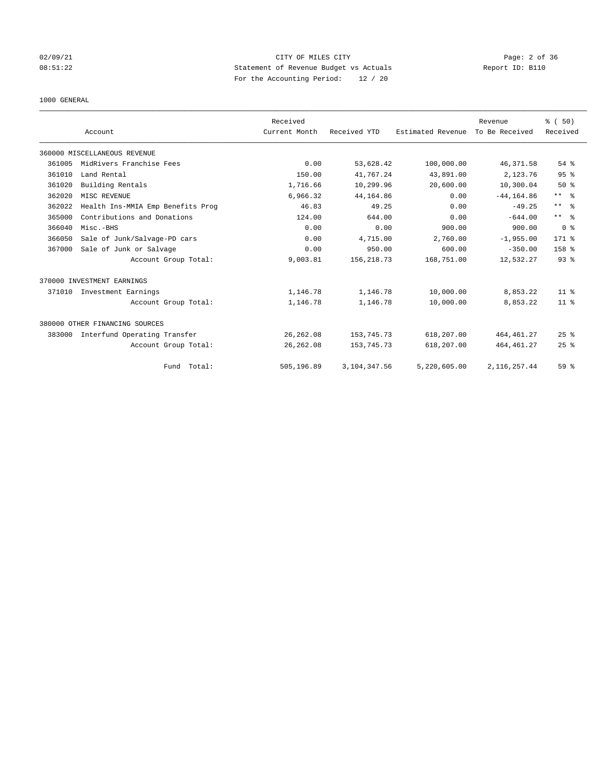## 02/09/21 Page: 2 of 36 08:51:22 Statement of Revenue Budget vs Actuals Report ID: B110 For the Accounting Period: 12 / 20

### 1000 GENERAL

|        |                                   | Received      |              |                   | Revenue        | % (50)              |
|--------|-----------------------------------|---------------|--------------|-------------------|----------------|---------------------|
|        | Account                           | Current Month | Received YTD | Estimated Revenue | To Be Received | Received            |
|        | 360000 MISCELLANEOUS REVENUE      |               |              |                   |                |                     |
| 361005 | MidRivers Franchise Fees          | 0.00          | 53,628.42    | 100,000.00        | 46,371.58      | 54 %                |
| 361010 | Land Rental                       | 150.00        | 41,767.24    | 43,891.00         | 2,123.76       | 95 <sup>8</sup>     |
| 361020 | Building Rentals                  | 1,716.66      | 10,299.96    | 20,600.00         | 10,300.04      | $50*$               |
| 362020 | MISC REVENUE                      | 6,966.32      | 44,164.86    | 0.00              | $-44, 164.86$  | $***$ $\frac{6}{5}$ |
| 362022 | Health Ins-MMIA Emp Benefits Prog | 46.83         | 49.25        | 0.00              | $-49.25$       | $\star\star$<br>- 응 |
| 365000 | Contributions and Donations       | 124.00        | 644.00       | 0.00              | $-644.00$      | $***$ $\frac{6}{5}$ |
| 366040 | Misc.-BHS                         | 0.00          | 0.00         | 900.00            | 900.00         | 0 <sup>8</sup>      |
| 366050 | Sale of Junk/Salvage-PD cars      | 0.00          | 4,715.00     | 2,760.00          | $-1,955.00$    | $171$ %             |
| 367000 | Sale of Junk or Salvage           | 0.00          | 950.00       | 600.00            | $-350.00$      | 158 <sup>8</sup>    |
|        | Account Group Total:              | 9,003.81      | 156, 218.73  | 168,751.00        | 12,532.27      | 93 <sup>8</sup>     |
|        | 370000 INVESTMENT EARNINGS        |               |              |                   |                |                     |
| 371010 | Investment Earnings               | 1,146.78      | 1,146.78     | 10,000.00         | 8,853.22       | $11*$               |
|        | Account Group Total:              | 1,146.78      | 1,146.78     | 10,000.00         | 8,853.22       | $11*$               |
|        | 380000 OTHER FINANCING SOURCES    |               |              |                   |                |                     |
| 383000 | Interfund Operating Transfer      | 26, 262.08    | 153, 745. 73 | 618,207.00        | 464, 461.27    | 25%                 |
|        | Account Group Total:              | 26, 262.08    | 153, 745. 73 | 618,207.00        | 464, 461.27    | 25%                 |
|        | Fund Total:                       | 505,196.89    | 3,104,347.56 | 5,220,605.00      | 2, 116, 257.44 | 59 %                |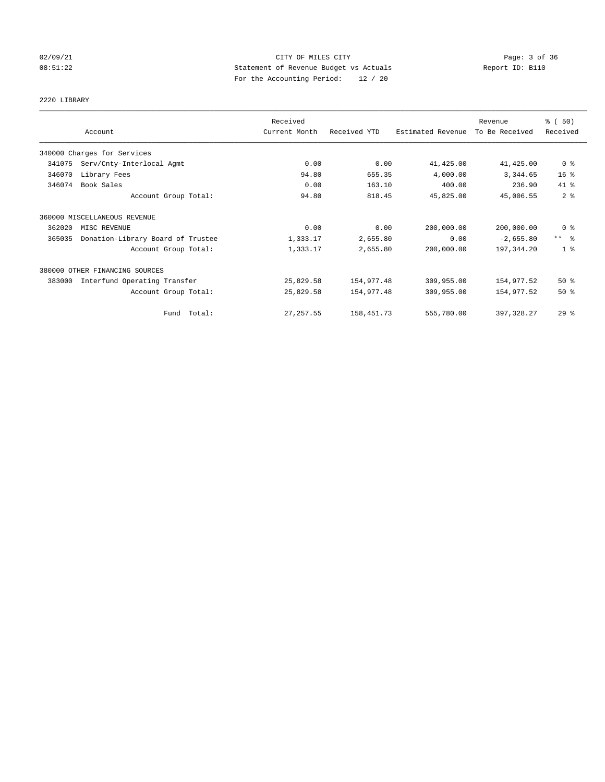## 02/09/21 Page: 3 of 36 08:51:22 Statement of Revenue Budget vs Actuals Report ID: B110 For the Accounting Period: 12 / 20

# 2220 LIBRARY

|        | Account                           | Received<br>Current Month | Received YTD | Estimated Revenue | Revenue<br>To Be Received | % (50)<br>Received  |
|--------|-----------------------------------|---------------------------|--------------|-------------------|---------------------------|---------------------|
|        | 340000 Charges for Services       |                           |              |                   |                           |                     |
| 341075 | Serv/Cnty-Interlocal Agmt         | 0.00                      | 0.00         | 41,425.00         | 41, 425.00                | 0 <sup>8</sup>      |
| 346070 | Library Fees                      | 94.80                     | 655.35       | 4,000.00          | 3,344.65                  | 16 <sup>8</sup>     |
| 346074 | Book Sales                        | 0.00                      | 163.10       | 400.00            | 236.90                    | 41.8                |
|        | Account Group Total:              | 94.80                     | 818.45       | 45,825.00         | 45,006.55                 | 2 <sup>8</sup>      |
|        | 360000 MISCELLANEOUS REVENUE      |                           |              |                   |                           |                     |
| 362020 | MISC REVENUE                      | 0.00                      | 0.00         | 200,000.00        | 200,000.00                | 0 <sup>8</sup>      |
| 365035 | Donation-Library Board of Trustee | 1,333.17                  | 2,655.80     | 0.00              | $-2,655.80$               | $***$ $\frac{6}{5}$ |
|        | Account Group Total:              | 1,333.17                  | 2,655.80     | 200,000.00        | 197,344.20                | 1 <sup>8</sup>      |
|        | 380000 OTHER FINANCING SOURCES    |                           |              |                   |                           |                     |
| 383000 | Interfund Operating Transfer      | 25,829.58                 | 154,977.48   | 309,955.00        | 154,977.52                | $50*$               |
|        | Account Group Total:              | 25,829.58                 | 154,977.48   | 309,955.00        | 154,977.52                | $50*$               |
|        | Fund Total:                       | 27, 257.55                | 158, 451.73  | 555,780.00        | 397, 328.27               | 29%                 |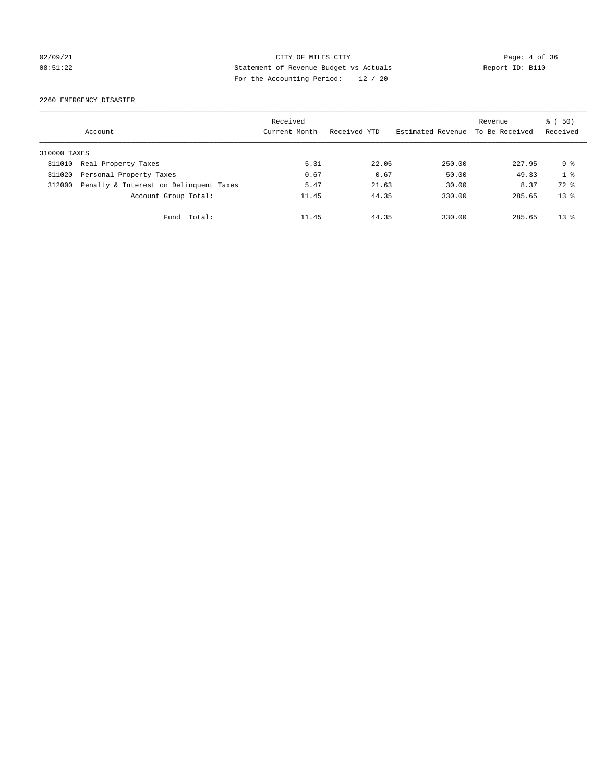## 02/09/21 CITY OF MILES CITY Page: 4 of 36 08:51:22 Statement of Revenue Budget vs Actuals Report ID: B110 For the Accounting Period: 12 / 20

2260 EMERGENCY DISASTER

|              | Account                                | Received<br>Current Month | Received YTD | Estimated Revenue | Revenue<br>To Be Received | % (50)<br>Received |
|--------------|----------------------------------------|---------------------------|--------------|-------------------|---------------------------|--------------------|
| 310000 TAXES |                                        |                           |              |                   |                           |                    |
| 311010       | Real Property Taxes                    | 5.31                      | 22.05        | 250.00            | 227.95                    | 9 <sub>8</sub>     |
| 311020       | Personal Property Taxes                | 0.67                      | 0.67         | 50.00             | 49.33                     | 1 <sup>8</sup>     |
| 312000       | Penalty & Interest on Delinquent Taxes | 5.47                      | 21.63        | 30.00             | 8.37                      | 72 %               |
|              | Account Group Total:                   | 11.45                     | 44.35        | 330.00            | 285.65                    | $13*$              |
|              | Total:<br>Fund                         | 11.45                     | 44.35        | 330.00            | 285.65                    | $13*$              |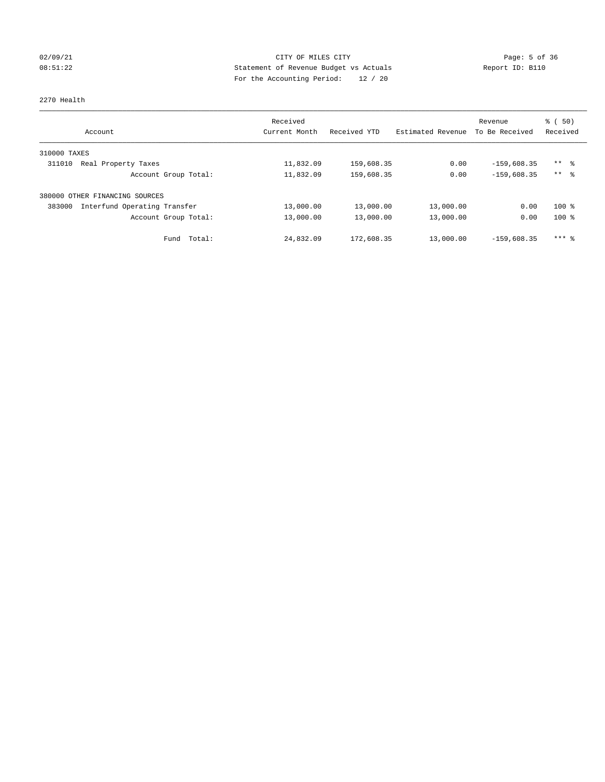## 02/09/21 Page: 5 of 36 08:51:22 Statement of Revenue Budget vs Actuals Report ID: B110 For the Accounting Period: 12 / 20

## 2270 Health

| Account                                | Received<br>Current Month | Received YTD | Estimated Revenue | Revenue<br>To Be Received | $\frac{1}{6}$ (50)<br>Received |
|----------------------------------------|---------------------------|--------------|-------------------|---------------------------|--------------------------------|
| 310000 TAXES                           |                           |              |                   |                           |                                |
| 311010<br>Real Property Taxes          | 11,832.09                 | 159,608.35   | 0.00              | $-159.608.35$             | $***$ $\approx$                |
| Account Group Total:                   | 11,832.09                 | 159,608.35   | 0.00              | $-159,608.35$             | $***$ $\approx$                |
| OTHER FINANCING SOURCES<br>380000      |                           |              |                   |                           |                                |
| 383000<br>Interfund Operating Transfer | 13,000.00                 | 13,000.00    | 13,000.00         | 0.00                      | $100*$                         |
| Account Group Total:                   | 13,000.00                 | 13,000.00    | 13,000.00         | 0.00                      | $100*$                         |
| Fund Total:                            | 24,832.09                 | 172,608.35   | 13,000.00         | $-159.608.35$             | $***$ $\frac{6}{5}$            |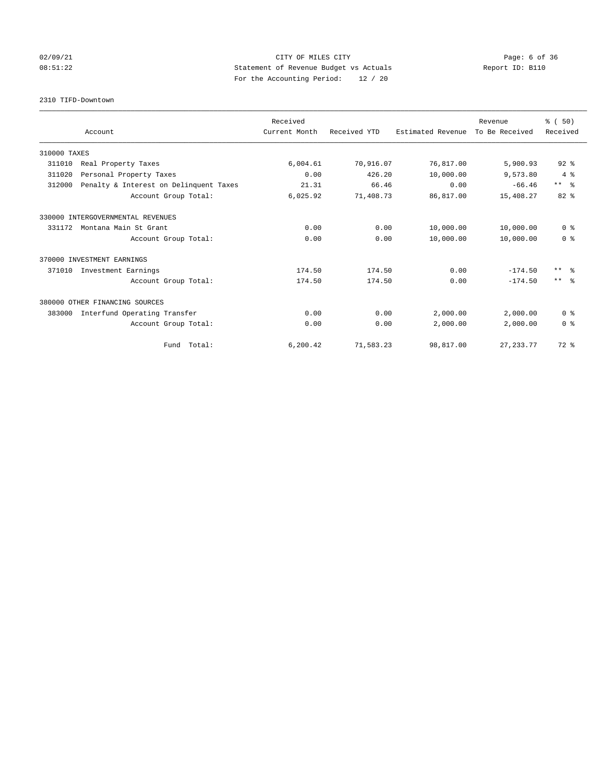## 02/09/21 CITY OF MILES CITY Page: 6 of 36 08:51:22 Statement of Revenue Budget vs Actuals Report ID: B110 For the Accounting Period: 12 / 20

2310 TIFD-Downtown

|              |                                        | Received      |              |                   | Revenue        | % (50)              |
|--------------|----------------------------------------|---------------|--------------|-------------------|----------------|---------------------|
|              | Account                                | Current Month | Received YTD | Estimated Revenue | To Be Received | Received            |
| 310000 TAXES |                                        |               |              |                   |                |                     |
| 311010       | Real Property Taxes                    | 6,004.61      | 70,916.07    | 76,817.00         | 5,900.93       | $92$ $%$            |
| 311020       | Personal Property Taxes                | 0.00          | 426.20       | 10,000.00         | 9,573.80       | 4%                  |
| 312000       | Penalty & Interest on Delinquent Taxes | 21.31         | 66.46        | 0.00              | $-66.46$       | $***$ $%$           |
|              | Account Group Total:                   | 6,025.92      | 71,408.73    | 86,817.00         | 15,408.27      | $82*$               |
|              | 330000 INTERGOVERNMENTAL REVENUES      |               |              |                   |                |                     |
| 331172       | Montana Main St Grant                  | 0.00          | 0.00         | 10,000.00         | 10,000.00      | 0 <sup>8</sup>      |
|              | Account Group Total:                   | 0.00          | 0.00         | 10,000.00         | 10,000.00      | 0 <sup>8</sup>      |
|              | 370000 INVESTMENT EARNINGS             |               |              |                   |                |                     |
| 371010       | Investment Earnings                    | 174.50        | 174.50       | 0.00              | $-174.50$      | $***$ $\frac{6}{5}$ |
|              | Account Group Total:                   | 174.50        | 174.50       | 0.00              | $-174.50$      | $***$ $\approx$     |
|              | 380000 OTHER FINANCING SOURCES         |               |              |                   |                |                     |
| 383000       | Interfund Operating Transfer           | 0.00          | 0.00         | 2,000.00          | 2,000.00       | 0 <sup>8</sup>      |
|              | Account Group Total:                   | 0.00          | 0.00         | 2,000.00          | 2,000.00       | 0 <sup>8</sup>      |
|              | Fund Total:                            | 6, 200.42     | 71,583.23    | 98,817.00         | 27, 233.77     | 72 %                |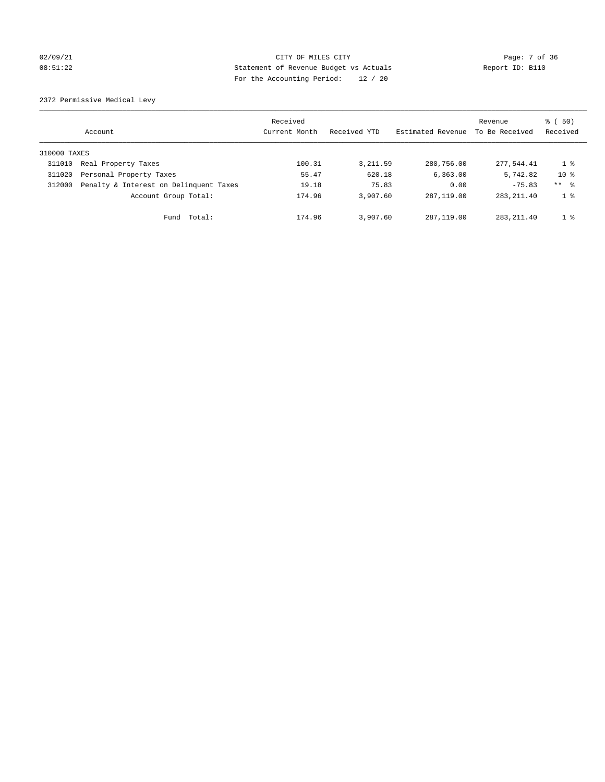## 02/09/21 Page: 7 of 36 08:51:22 Statement of Revenue Budget vs Actuals Report ID: B110 For the Accounting Period: 12 / 20

2372 Permissive Medical Levy

|              | Account                                | Received<br>Current Month | Received YTD | Estimated Revenue | Revenue<br>To Be Received | $\frac{1}{6}$ (50)<br>Received |
|--------------|----------------------------------------|---------------------------|--------------|-------------------|---------------------------|--------------------------------|
| 310000 TAXES |                                        |                           |              |                   |                           |                                |
| 311010       | Real Property Taxes                    | 100.31                    | 3, 211.59    | 280,756.00        | 277.544.41                | 1 %                            |
| 311020       | Personal Property Taxes                | 55.47                     | 620.18       | 6, 363.00         | 5,742.82                  | $10*$                          |
| 312000       | Penalty & Interest on Delinquent Taxes | 19.18                     | 75.83        | 0.00              | $-75.83$                  | ** %                           |
|              | Account Group Total:                   | 174.96                    | 3,907.60     | 287, 119, 00      | 283, 211.40               | 1 <sup>8</sup>                 |
|              | Total:<br>Fund                         | 174.96                    | 3,907.60     | 287, 119, 00      | 283, 211, 40              | 1 <sup>8</sup>                 |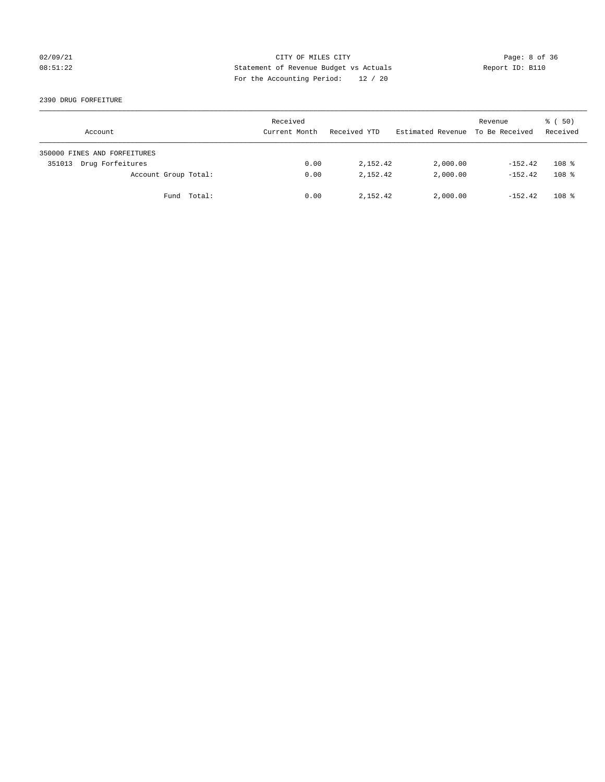## 02/09/21 CITY OF MILES CITY Page: 8 of 36 08:51:22 Statement of Revenue Budget vs Actuals Report ID: B110 For the Accounting Period: 12 / 20

## 2390 DRUG FORFEITURE

| Account                      | Received<br>Current Month | Received YTD | Estimated Revenue | Revenue<br>To Be Received | $\frac{1}{6}$ (50)<br>Received |
|------------------------------|---------------------------|--------------|-------------------|---------------------------|--------------------------------|
| 350000 FINES AND FORFEITURES |                           |              |                   |                           |                                |
| Drug Forfeitures<br>351013   | 0.00                      | 2,152.42     | 2,000.00          | $-152.42$                 | 108 <sup>8</sup>               |
| Account Group Total:         | 0.00                      | 2,152.42     | 2,000.00          | $-152.42$                 | 108 <sup>8</sup>               |
| Fund Total:                  | 0.00                      | 2,152.42     | 2,000.00          | $-152.42$                 | 108 <sup>8</sup>               |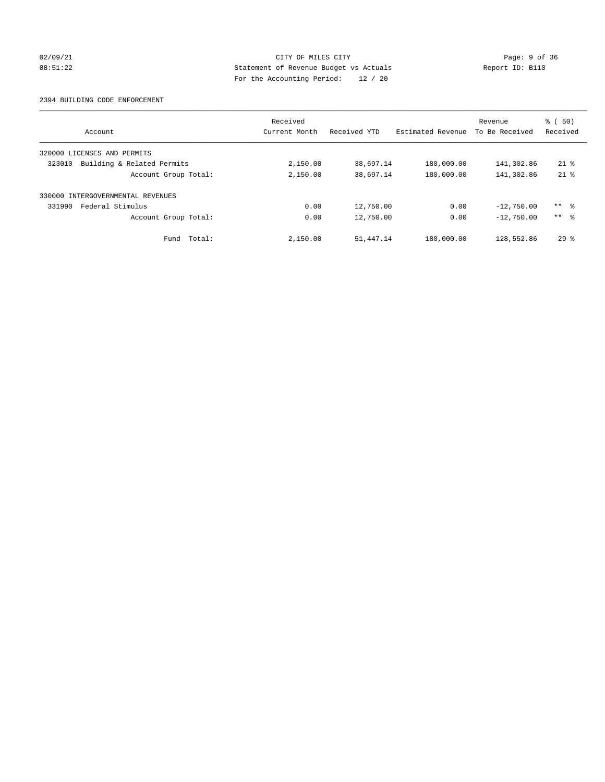## 02/09/21 CITY OF MILES CITY Page: 9 of 36 08:51:22 Statement of Revenue Budget vs Actuals Report ID: B110 For the Accounting Period: 12 / 20

### 2394 BUILDING CODE ENFORCEMENT

| Account                              | Received<br>Current Month | Received YTD | Estimated Revenue | Revenue<br>To Be Received | $\frac{1}{6}$ (50)<br>Received |
|--------------------------------------|---------------------------|--------------|-------------------|---------------------------|--------------------------------|
| 320000 LICENSES AND PERMITS          |                           |              |                   |                           |                                |
| Building & Related Permits<br>323010 | 2,150.00                  | 38,697.14    | 180,000.00        | 141,302.86                | $21$ $%$                       |
| Account Group Total:                 | 2,150.00                  | 38,697.14    | 180,000.00        | 141,302.86                | $21$ %                         |
| INTERGOVERNMENTAL REVENUES<br>330000 |                           |              |                   |                           |                                |
| Federal Stimulus<br>331990           | 0.00                      | 12,750.00    | 0.00              | $-12,750.00$              | $***$ $\approx$                |
| Account Group Total:                 | 0.00                      | 12,750.00    | 0.00              | $-12,750.00$              | $***$ $\approx$                |
| Fund Total:                          | 2,150.00                  | 51, 447. 14  | 180,000.00        | 128,552.86                | $29*$                          |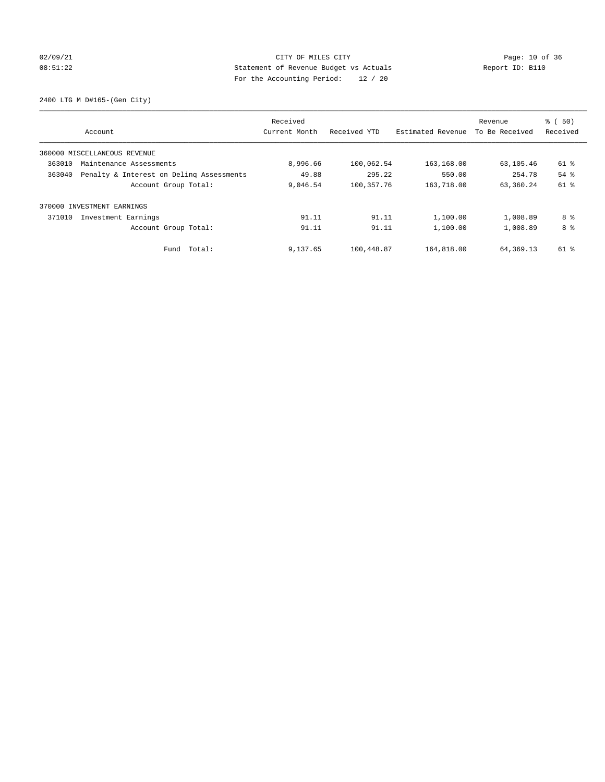## 02/09/21 Page: 10 of 36 08:51:22 Statement of Revenue Budget vs Actuals Report ID: B110 For the Accounting Period: 12 / 20

2400 LTG M D#165-(Gen City)

|                                                    | Received      |              |                   | Revenue        | % (50)   |
|----------------------------------------------------|---------------|--------------|-------------------|----------------|----------|
| Account                                            | Current Month | Received YTD | Estimated Revenue | To Be Received | Received |
| 360000 MISCELLANEOUS REVENUE                       |               |              |                   |                |          |
| 363010<br>Maintenance Assessments                  | 8,996.66      | 100,062.54   | 163,168.00        | 63,105.46      | 61 %     |
| 363040<br>Penalty & Interest on Deling Assessments | 49.88         | 295.22       | 550.00            | 254.78         | $54$ $%$ |
| Account Group Total:                               | 9,046.54      | 100, 357. 76 | 163,718.00        | 63,360.24      | 61 %     |
| 370000 INVESTMENT EARNINGS                         |               |              |                   |                |          |
| 371010<br>Investment Earnings                      | 91.11         | 91.11        | 1,100.00          | 1,008.89       | 8 %      |
| Account Group Total:                               | 91.11         | 91.11        | 1,100.00          | 1,008.89       | 8 %      |
| Total:<br>Fund                                     | 9,137.65      | 100,448.87   | 164,818.00        | 64,369.13      | 61 %     |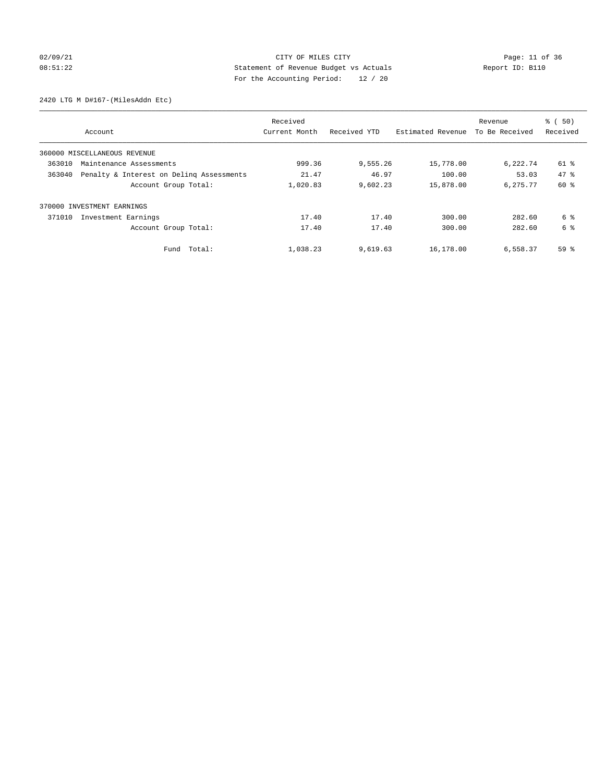## 02/09/21 Page: 11 of 36 08:51:22 Statement of Revenue Budget vs Actuals Report ID: B110 For the Accounting Period: 12 / 20

2420 LTG M D#167-(MilesAddn Etc)

|                                                    | Received      |              |                   | Revenue        | % (50)   |
|----------------------------------------------------|---------------|--------------|-------------------|----------------|----------|
| Account                                            | Current Month | Received YTD | Estimated Revenue | To Be Received | Received |
| 360000 MISCELLANEOUS REVENUE                       |               |              |                   |                |          |
| 363010<br>Maintenance Assessments                  | 999.36        | 9,555.26     | 15,778.00         | 6,222.74       | 61 %     |
| 363040<br>Penalty & Interest on Deling Assessments | 21.47         | 46.97        | 100.00            | 53.03          | 47.8     |
| Account Group Total:                               | 1,020.83      | 9,602.23     | 15,878.00         | 6,275.77       | 60 %     |
| 370000 INVESTMENT EARNINGS                         |               |              |                   |                |          |
| 371010<br>Investment Earnings                      | 17.40         | 17.40        | 300.00            | 282.60         | 6 %      |
| Account Group Total:                               | 17.40         | 17.40        | 300.00            | 282.60         | 6 %      |
| Total:<br>Fund                                     | 1,038.23      | 9,619.63     | 16,178.00         | 6,558.37       | 59%      |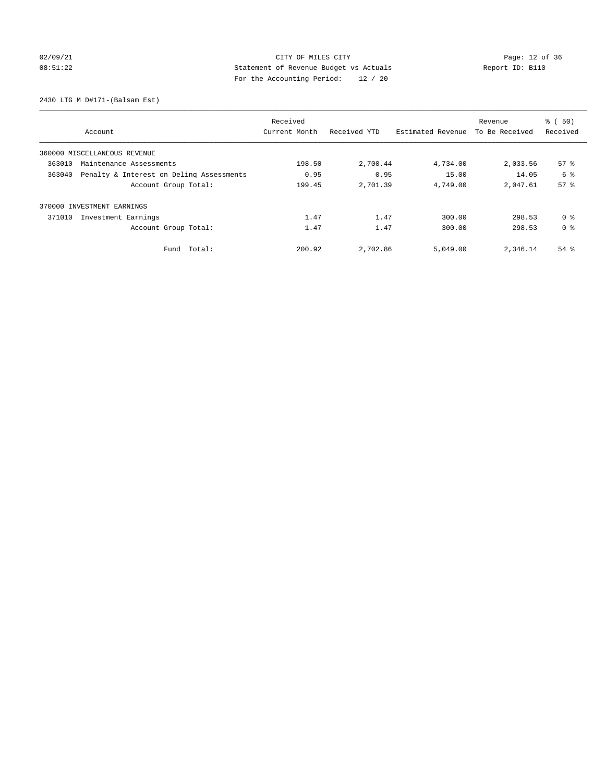## 02/09/21 Page: 12 of 36 08:51:22 Statement of Revenue Budget vs Actuals Report ID: B110 For the Accounting Period: 12 / 20

2430 LTG M D#171-(Balsam Est)

|                                                    | Received      |              |                   | Revenue        | % (50)          |
|----------------------------------------------------|---------------|--------------|-------------------|----------------|-----------------|
| Account                                            | Current Month | Received YTD | Estimated Revenue | To Be Received | Received        |
| 360000 MISCELLANEOUS REVENUE                       |               |              |                   |                |                 |
| 363010<br>Maintenance Assessments                  | 198.50        | 2,700.44     | 4,734.00          | 2,033.56       | 57%             |
| Penalty & Interest on Deling Assessments<br>363040 | 0.95          | 0.95         | 15.00             | 14.05          | 6 %             |
| Account Group Total:                               | 199.45        | 2,701.39     | 4,749.00          | 2,047.61       | 57 <sup>8</sup> |
| 370000 INVESTMENT EARNINGS                         |               |              |                   |                |                 |
| 371010<br>Investment Earnings                      | 1.47          | 1.47         | 300.00            | 298.53         | 0 <sup>8</sup>  |
| Account Group Total:                               | 1.47          | 1.47         | 300.00            | 298.53         | 0 <sup>8</sup>  |
| Total:<br>Fund                                     | 200.92        | 2,702.86     | 5,049.00          | 2,346.14       | $54$ $%$        |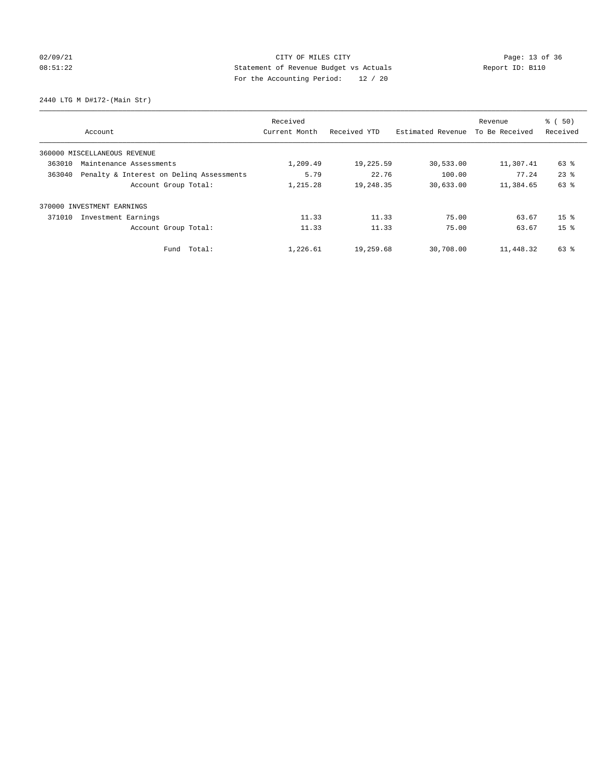## 02/09/21 Page: 13 of 36 Page: 13 of 36 Page: 13 Of 36 Page: 13 Of 36 Page: 13 Of 36 08:51:22 Statement of Revenue Budget vs Actuals Report ID: B110 For the Accounting Period: 12 / 20

2440 LTG M D#172-(Main Str)

|        | Account                                  | Received<br>Current Month | Received YTD | Estimated Revenue | Revenue<br>To Be Received | % (50)<br>Received |
|--------|------------------------------------------|---------------------------|--------------|-------------------|---------------------------|--------------------|
|        | 360000 MISCELLANEOUS REVENUE             |                           |              |                   |                           |                    |
| 363010 | Maintenance Assessments                  | 1,209.49                  | 19,225.59    | 30,533.00         | 11,307.41                 | 63 %               |
| 363040 | Penalty & Interest on Deling Assessments | 5.79                      | 22.76        | 100.00            | 77.24                     | $23$ $%$           |
|        | Account Group Total:                     | 1,215.28                  | 19,248.35    | 30,633.00         | 11,384.65                 | 63 %               |
|        | 370000 INVESTMENT EARNINGS               |                           |              |                   |                           |                    |
| 371010 | Investment Earnings                      | 11.33                     | 11.33        | 75.00             | 63.67                     | 15 <sup>8</sup>    |
|        | Account Group Total:                     | 11.33                     | 11.33        | 75.00             | 63.67                     | 15 <sup>8</sup>    |
|        | Fund Total:                              | 1,226.61                  | 19,259.68    | 30,708.00         | 11,448.32                 | 63 %               |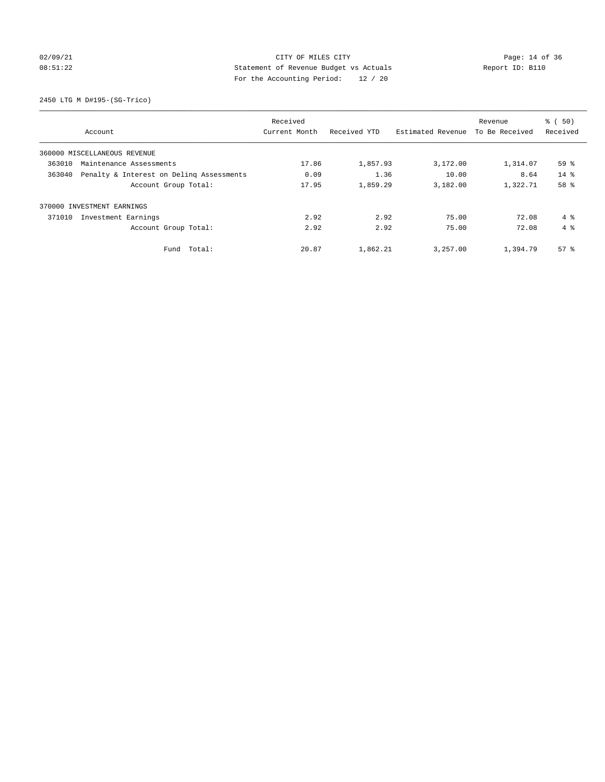## 02/09/21 Page: 14 of 36 08:51:22 Statement of Revenue Budget vs Actuals Report ID: B110 For the Accounting Period: 12 / 20

2450 LTG M D#195-(SG-Trico)

|                                                    | Received      |              |                   | Revenue        | $\frac{1}{6}$ (50) |
|----------------------------------------------------|---------------|--------------|-------------------|----------------|--------------------|
| Account                                            | Current Month | Received YTD | Estimated Revenue | To Be Received | Received           |
| 360000 MISCELLANEOUS REVENUE                       |               |              |                   |                |                    |
| 363010<br>Maintenance Assessments                  | 17.86         | 1,857.93     | 3,172.00          | 1,314.07       | 59%                |
| 363040<br>Penalty & Interest on Deling Assessments | 0.09          | 1.36         | 10.00             | 8.64           | $14*$              |
| Account Group Total:                               | 17.95         | 1,859.29     | 3,182.00          | 1,322.71       | 58 %               |
| 370000 INVESTMENT EARNINGS                         |               |              |                   |                |                    |
| Investment Earnings<br>371010                      | 2.92          | 2.92         | 75.00             | 72.08          | 4%                 |
| Account Group Total:                               | 2.92          | 2.92         | 75.00             | 72.08          | $4 \text{ }$       |
| Total:<br>Fund                                     | 20.87         | 1,862.21     | 3,257.00          | 1,394.79       | 57 <sup>8</sup>    |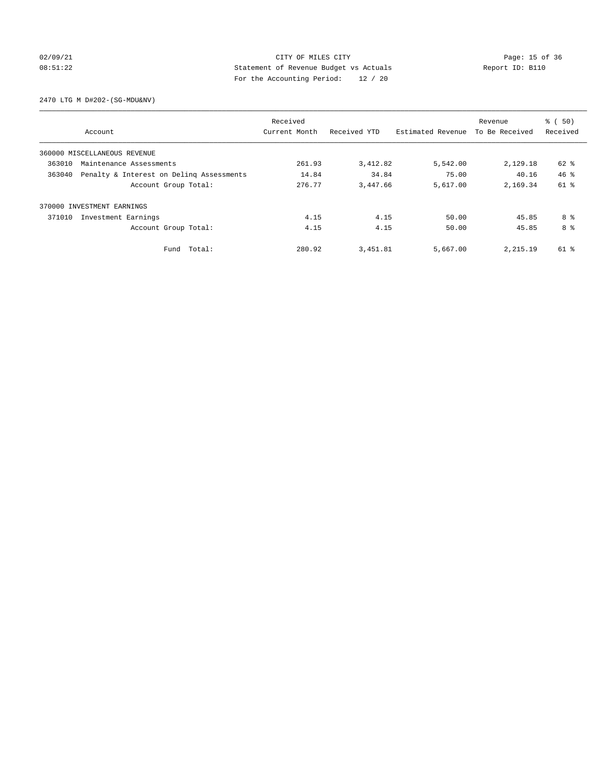## 02/09/21 Page: 15 of 36 Page: 15 of 36 Page: 15 of 36 Page: 15 of 36 Page: 15 of 36 08:51:22 Statement of Revenue Budget vs Actuals Report ID: B110 For the Accounting Period: 12 / 20

2470 LTG M D#202-(SG-MDU&NV)

|                                                    |             | Received      |              |                   | Revenue        | % (50)   |
|----------------------------------------------------|-------------|---------------|--------------|-------------------|----------------|----------|
| Account                                            |             | Current Month | Received YTD | Estimated Revenue | To Be Received | Received |
| 360000 MISCELLANEOUS REVENUE                       |             |               |              |                   |                |          |
| 363010<br>Maintenance Assessments                  |             | 261.93        | 3,412.82     | 5,542.00          | 2,129.18       | 62 %     |
| Penalty & Interest on Deling Assessments<br>363040 |             | 14.84         | 34.84        | 75.00             | 40.16          | 46.8     |
| Account Group Total:                               |             | 276.77        | 3,447.66     | 5,617.00          | 2,169.34       | $61$ $%$ |
| 370000 INVESTMENT EARNINGS                         |             |               |              |                   |                |          |
| 371010<br>Investment Earnings                      |             | 4.15          | 4.15         | 50.00             | 45.85          | 8 %      |
| Account Group Total:                               |             | 4.15          | 4.15         | 50.00             | 45.85          | 8 %      |
|                                                    | Fund Total: | 280.92        | 3,451.81     | 5,667.00          | 2,215.19       | 61 %     |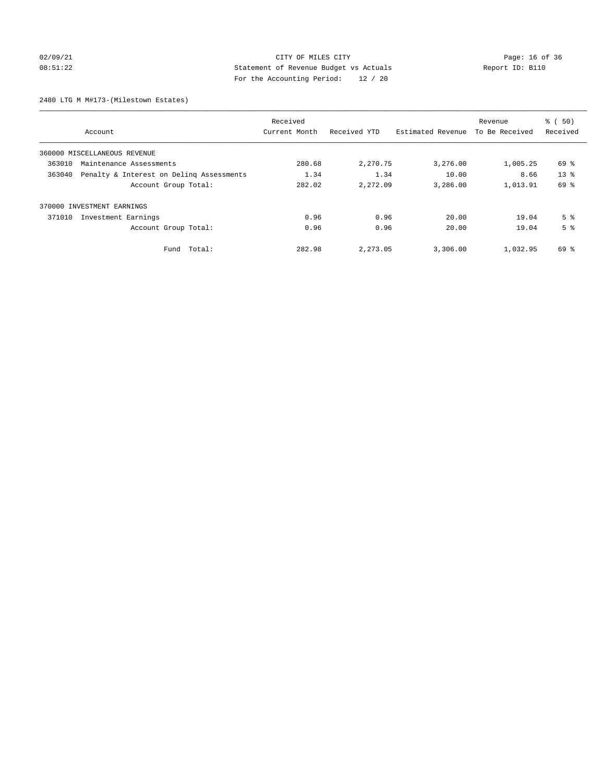## 02/09/21 Page: 16 of 36 08:51:22 Statement of Revenue Budget vs Actuals Report ID: B110 For the Accounting Period: 12 / 20

2480 LTG M M#173-(Milestown Estates)

|                                                    |                      | Received      |              |                   | Revenue        | % (50)          |
|----------------------------------------------------|----------------------|---------------|--------------|-------------------|----------------|-----------------|
| Account                                            |                      | Current Month | Received YTD | Estimated Revenue | To Be Received | Received        |
| 360000 MISCELLANEOUS REVENUE                       |                      |               |              |                   |                |                 |
| 363010<br>Maintenance Assessments                  |                      | 280.68        | 2,270.75     | 3,276.00          | 1,005.25       | 69 %            |
| Penalty & Interest on Deling Assessments<br>363040 |                      | 1.34          | 1.34         | 10.00             | 8.66           | 13 <sup>8</sup> |
|                                                    | Account Group Total: | 282.02        | 2,272.09     | 3,286.00          | 1,013.91       | 69 %            |
| 370000 INVESTMENT EARNINGS                         |                      |               |              |                   |                |                 |
| 371010<br>Investment Earnings                      |                      | 0.96          | 0.96         | 20.00             | 19.04          | 5 <sup>°</sup>  |
|                                                    | Account Group Total: | 0.96          | 0.96         | 20.00             | 19.04          | 5 <sup>°</sup>  |
|                                                    | Fund Total:          | 282.98        | 2,273.05     | 3,306.00          | 1,032.95       | 69 %            |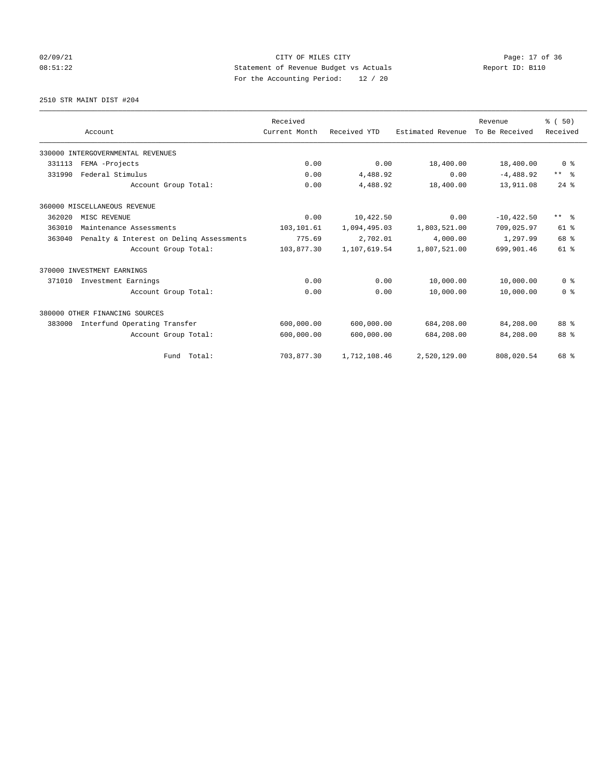## 02/09/21 Page: 17 of 36 08:51:22 Statement of Revenue Budget vs Actuals Report ID: B110 For the Accounting Period: 12 / 20

2510 STR MAINT DIST #204

|        |                                          | Received      |              |                   | Revenue        | % (50)         |
|--------|------------------------------------------|---------------|--------------|-------------------|----------------|----------------|
|        | Account                                  | Current Month | Received YTD | Estimated Revenue | To Be Received | Received       |
|        | 330000 INTERGOVERNMENTAL REVENUES        |               |              |                   |                |                |
| 331113 | FEMA -Projects                           | 0.00          | 0.00         | 18,400.00         | 18,400.00      | 0 <sup>8</sup> |
| 331990 | Federal Stimulus                         | 0.00          | 4,488.92     | 0.00              | $-4,488.92$    | ** %           |
|        | Account Group Total:                     | 0.00          | 4,488.92     | 18,400.00         | 13,911.08      | $24$ $%$       |
|        | 360000 MISCELLANEOUS REVENUE             |               |              |                   |                |                |
| 362020 | MISC REVENUE                             | 0.00          | 10,422.50    | 0.00              | $-10.422.50$   | ** %           |
| 363010 | Maintenance Assessments                  | 103,101.61    | 1,094,495.03 | 1,803,521.00      | 709,025.97     | $61*$          |
| 363040 | Penalty & Interest on Deling Assessments | 775.69        | 2,702.01     | 4,000.00          | 1,297.99       | 68 %           |
|        | Account Group Total:                     | 103,877.30    | 1,107,619.54 | 1,807,521.00      | 699,901.46     | 61 %           |
|        | 370000 INVESTMENT EARNINGS               |               |              |                   |                |                |
| 371010 | Investment Earnings                      | 0.00          | 0.00         | 10,000.00         | 10,000.00      | 0 <sup>8</sup> |
|        | Account Group Total:                     | 0.00          | 0.00         | 10,000.00         | 10,000.00      | 0 <sup>8</sup> |
|        | 380000 OTHER FINANCING SOURCES           |               |              |                   |                |                |
| 383000 | Interfund Operating Transfer             | 600,000.00    | 600,000.00   | 684,208.00        | 84,208.00      | 88 %           |
|        | Account Group Total:                     | 600,000.00    | 600,000.00   | 684,208.00        | 84,208.00      | 88 %           |
|        | Fund Total:                              | 703,877.30    | 1,712,108.46 | 2,520,129.00      | 808,020.54     | 68 %           |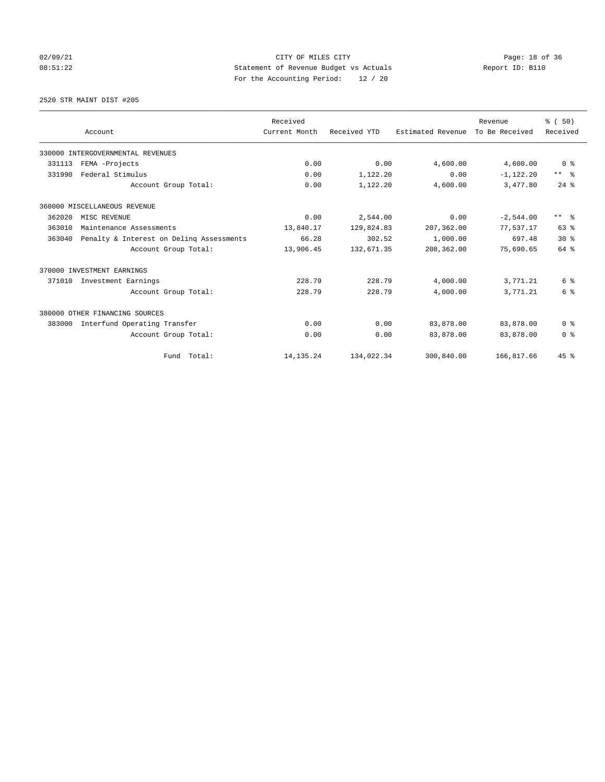## 02/09/21 Page: 18 of 36 CITY OF MILES CITY 08:51:22 Statement of Revenue Budget vs Actuals Report ID: B110 For the Accounting Period: 12 / 20

2520 STR MAINT DIST #205

|        |                                          | Received      |              |                   | Revenue        | % (50)          |
|--------|------------------------------------------|---------------|--------------|-------------------|----------------|-----------------|
|        | Account                                  | Current Month | Received YTD | Estimated Revenue | To Be Received | Received        |
|        | 330000 INTERGOVERNMENTAL REVENUES        |               |              |                   |                |                 |
| 331113 | FEMA -Projects                           | 0.00          | 0.00         | 4,600.00          | 4,600.00       | 0 <sup>8</sup>  |
| 331990 | Federal Stimulus                         | 0.00          | 1,122.20     | 0.00              | $-1,122.20$    | ** %            |
|        | Account Group Total:                     | 0.00          | 1,122.20     | 4,600.00          | 3,477.80       | $24$ $%$        |
|        | 360000 MISCELLANEOUS REVENUE             |               |              |                   |                |                 |
| 362020 | MISC REVENUE                             | 0.00          | 2,544.00     | 0.00              | $-2,544.00$    | $***$ $\approx$ |
| 363010 | Maintenance Assessments                  | 13,840.17     | 129,824.83   | 207,362.00        | 77,537.17      | 63 %            |
| 363040 | Penalty & Interest on Deling Assessments | 66.28         | 302.52       | 1,000.00          | 697.48         | $30*$           |
|        | Account Group Total:                     | 13,906.45     | 132,671.35   | 208,362.00        | 75,690.65      | 64 %            |
|        | 370000 INVESTMENT EARNINGS               |               |              |                   |                |                 |
| 371010 | Investment Earnings                      | 228.79        | 228.79       | 4,000.00          | 3,771.21       | 6 %             |
|        | Account Group Total:                     | 228.79        | 228.79       | 4,000.00          | 3,771.21       | 6 %             |
|        | 380000 OTHER FINANCING SOURCES           |               |              |                   |                |                 |
| 383000 | Interfund Operating Transfer             | 0.00          | 0.00         | 83,878.00         | 83,878.00      | 0 <sup>8</sup>  |
|        | Account Group Total:                     | 0.00          | 0.00         | 83,878.00         | 83,878.00      | 0 <sup>8</sup>  |
|        | Fund Total:                              | 14, 135. 24   | 134,022.34   | 300,840.00        | 166,817.66     | 45%             |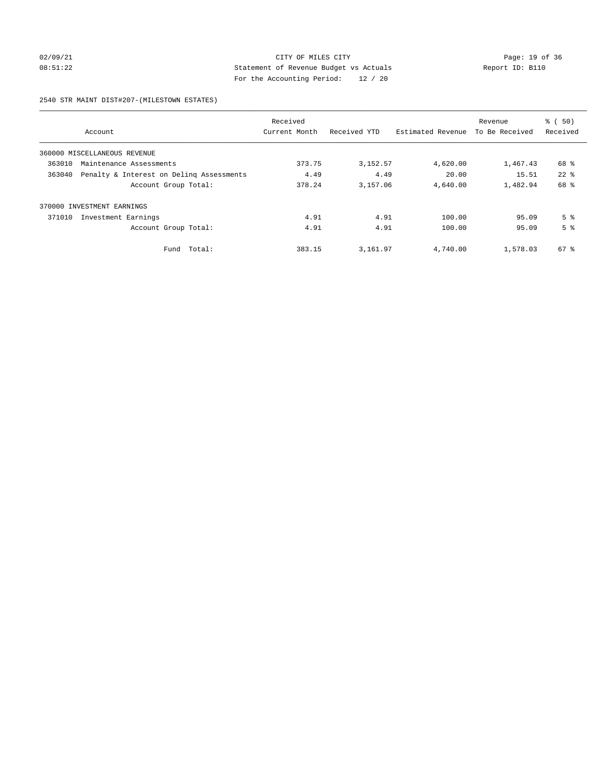## 02/09/21 Page: 19 of 36 08:51:22 Statement of Revenue Budget vs Actuals Report ID: B110 For the Accounting Period: 12 / 20

### 2540 STR MAINT DIST#207-(MILESTOWN ESTATES)

|                                                    | Received      |              |                   | Revenue        | % (50)         |
|----------------------------------------------------|---------------|--------------|-------------------|----------------|----------------|
| Account                                            | Current Month | Received YTD | Estimated Revenue | To Be Received | Received       |
| 360000 MISCELLANEOUS REVENUE                       |               |              |                   |                |                |
| 363010<br>Maintenance Assessments                  | 373.75        | 3, 152.57    | 4,620.00          | 1,467.43       | 68 %           |
| Penalty & Interest on Deling Assessments<br>363040 | 4.49          | 4.49         | 20.00             | 15.51          | $22$ $%$       |
| Account Group Total:                               | 378.24        | 3,157.06     | 4,640.00          | 1,482.94       | 68 %           |
| 370000 INVESTMENT EARNINGS                         |               |              |                   |                |                |
| Investment Earnings<br>371010                      | 4.91          | 4.91         | 100.00            | 95.09          | 5 <sup>8</sup> |
| Account Group Total:                               | 4.91          | 4.91         | 100.00            | 95.09          | 5 <sup>8</sup> |
| Total:<br>Fund                                     | 383.15        | 3,161.97     | 4,740.00          | 1,578.03       | $67*$          |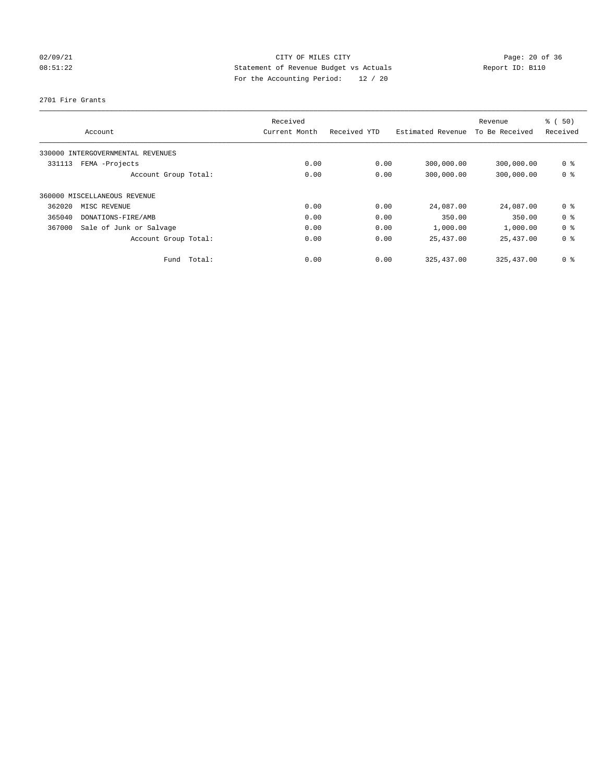## 02/09/21 Page: 20 of 36 08:51:22 Statement of Revenue Budget vs Actuals Report ID: B110 For the Accounting Period: 12 / 20

### 2701 Fire Grants

| Account                           |                      | Received<br>Current Month | Received YTD | Estimated Revenue | Revenue<br>To Be Received | % (50)<br>Received |
|-----------------------------------|----------------------|---------------------------|--------------|-------------------|---------------------------|--------------------|
| 330000 INTERGOVERNMENTAL REVENUES |                      |                           |              |                   |                           |                    |
| FEMA -Projects<br>331113          |                      | 0.00                      | 0.00         | 300,000.00        | 300,000.00                | 0 <sup>8</sup>     |
|                                   | Account Group Total: | 0.00                      | 0.00         | 300,000.00        | 300,000.00                | 0 <sup>8</sup>     |
| 360000 MISCELLANEOUS REVENUE      |                      |                           |              |                   |                           |                    |
| 362020<br>MISC REVENUE            |                      | 0.00                      | 0.00         | 24,087.00         | 24,087.00                 | 0 <sup>8</sup>     |
| 365040<br>DONATIONS-FIRE/AMB      |                      | 0.00                      | 0.00         | 350.00            | 350.00                    | 0 <sup>8</sup>     |
| Sale of Junk or Salvage<br>367000 |                      | 0.00                      | 0.00         | 1,000.00          | 1,000.00                  | 0 <sup>8</sup>     |
|                                   | Account Group Total: | 0.00                      | 0.00         | 25,437.00         | 25,437.00                 | 0 <sup>8</sup>     |
|                                   | Total:<br>Fund       | 0.00                      | 0.00         | 325, 437, 00      | 325, 437, 00              | 0 %                |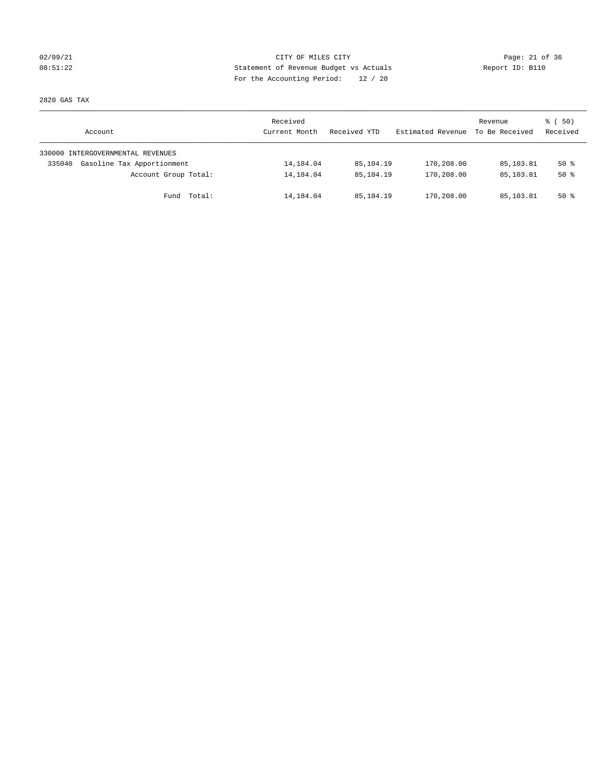## 02/09/21 Page: 21 of 36 08:51:22 Statement of Revenue Budget vs Actuals Report ID: B110 For the Accounting Period: 12 / 20

2820 GAS TAX

| Account                              | Received<br>Current Month | Received YTD | Estimated Revenue | Revenue<br>To Be Received | 8 ( 50)<br>Received |
|--------------------------------------|---------------------------|--------------|-------------------|---------------------------|---------------------|
| 330000 INTERGOVERNMENTAL REVENUES    |                           |              |                   |                           |                     |
| Gasoline Tax Apportionment<br>335040 | 14,184.04                 | 85,104.19    | 170,208.00        | 85,103.81                 | $50*$               |
| Account Group Total:                 | 14,184.04                 | 85,104.19    | 170,208.00        | 85,103.81                 | $50*$               |
| Fund Total:                          | 14,184.04                 | 85,104.19    | 170,208.00        | 85,103.81                 | $50*$               |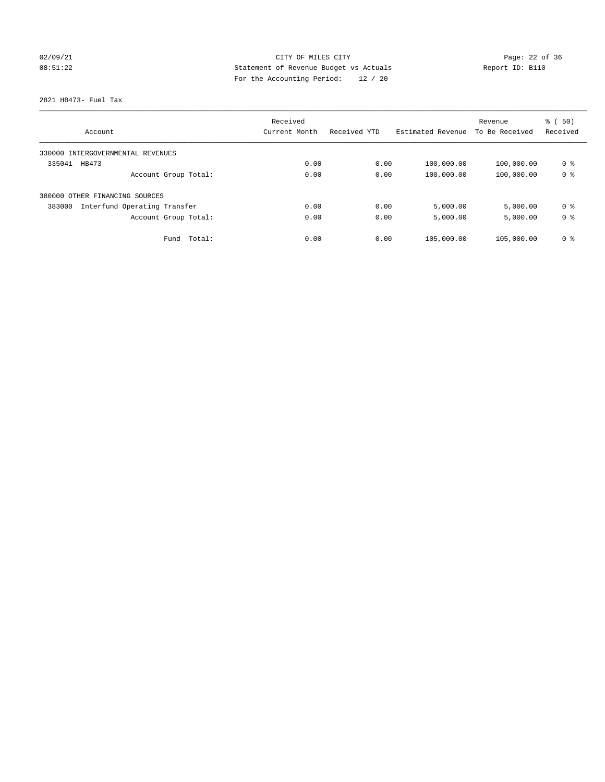## 02/09/21 Page: 22 of 36 08:51:22 Statement of Revenue Budget vs Actuals Report ID: B110 For the Accounting Period: 12 / 20

2821 HB473- Fuel Tax

|                                        | Received      |              |                   | Revenue        | % (50)         |
|----------------------------------------|---------------|--------------|-------------------|----------------|----------------|
| Account                                | Current Month | Received YTD | Estimated Revenue | To Be Received | Received       |
| 330000 INTERGOVERNMENTAL REVENUES      |               |              |                   |                |                |
| 335041<br>HB473                        | 0.00          | 0.00         | 100,000.00        | 100,000.00     | 0 %            |
| Account Group Total:                   | 0.00          | 0.00         | 100,000.00        | 100,000.00     | 0 <sup>8</sup> |
| 380000 OTHER FINANCING SOURCES         |               |              |                   |                |                |
| 383000<br>Interfund Operating Transfer | 0.00          | 0.00         | 5,000.00          | 5,000.00       | 0 <sup>8</sup> |
| Account Group Total:                   | 0.00          | 0.00         | 5,000.00          | 5,000.00       | 0 <sup>8</sup> |
| Total:<br>Fund                         | 0.00          | 0.00         | 105,000.00        | 105,000.00     | 0 <sup>8</sup> |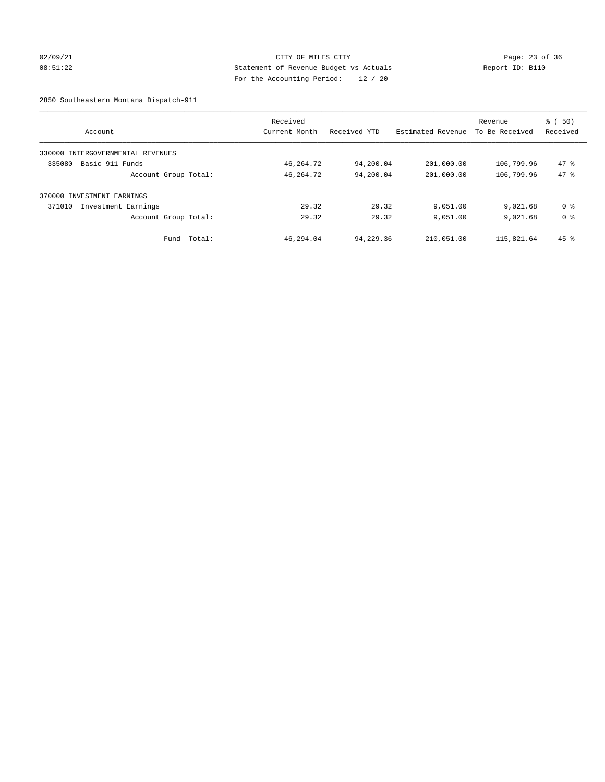## 02/09/21 Page: 23 of 36 08:51:22 Statement of Revenue Budget vs Actuals Report ID: B110 For the Accounting Period: 12 / 20

2850 Southeastern Montana Dispatch-911

| Account                              | Received<br>Current Month | Received YTD | Estimated Revenue | Revenue<br>To Be Received | $\frac{1}{6}$ (50)<br>Received |
|--------------------------------------|---------------------------|--------------|-------------------|---------------------------|--------------------------------|
| INTERGOVERNMENTAL REVENUES<br>330000 |                           |              |                   |                           |                                |
| 335080<br>Basic 911 Funds            | 46, 264. 72               | 94,200.04    | 201,000.00        | 106,799.96                | 47.8                           |
| Account Group Total:                 | 46, 264. 72               | 94,200.04    | 201,000.00        | 106,799.96                | 47.8                           |
| 370000 INVESTMENT EARNINGS           |                           |              |                   |                           |                                |
| 371010<br>Investment Earnings        | 29.32                     | 29.32        | 9,051.00          | 9,021.68                  | 0 %                            |
| Account Group Total:                 | 29.32                     | 29.32        | 9,051.00          | 9,021.68                  | 0 <sup>8</sup>                 |
| Total:<br>Fund                       | 46,294.04                 | 94,229.36    | 210,051.00        | 115,821.64                | $45$ %                         |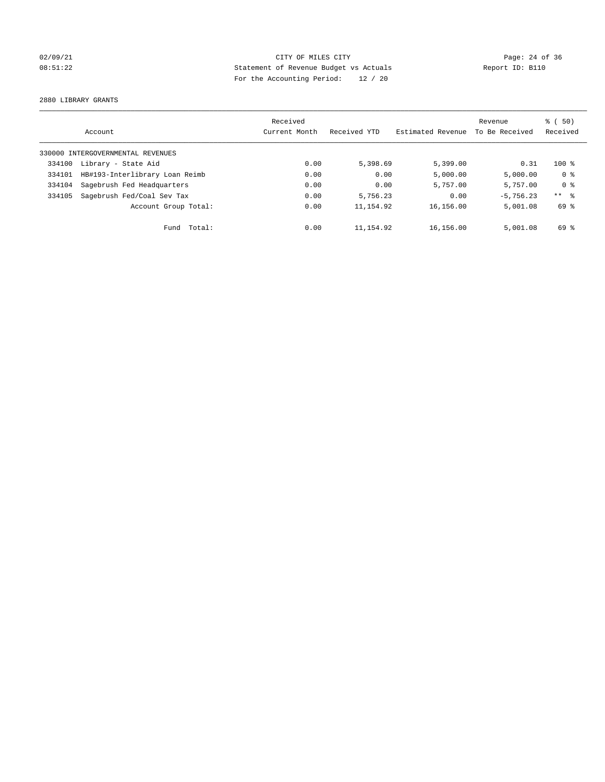## 02/09/21 Page: 24 of 36 08:51:22 Statement of Revenue Budget vs Actuals Report ID: B110 For the Accounting Period: 12 / 20

2880 LIBRARY GRANTS

|        |                                   | Received      |              |                   | Revenue        | 8 ( 50)        |
|--------|-----------------------------------|---------------|--------------|-------------------|----------------|----------------|
|        | Account                           | Current Month | Received YTD | Estimated Revenue | To Be Received | Received       |
|        | 330000 INTERGOVERNMENTAL REVENUES |               |              |                   |                |                |
| 334100 | Library - State Aid               | 0.00          | 5,398.69     | 5,399.00          | 0.31           | $100*$         |
| 334101 | HB#193-Interlibrary Loan Reimb    | 0.00          | 0.00         | 5,000.00          | 5,000.00       | 0 <sup>8</sup> |
| 334104 | Sagebrush Fed Headquarters        | 0.00          | 0.00         | 5,757.00          | 5,757.00       | 0 <sup>8</sup> |
| 334105 | Sagebrush Fed/Coal Sev Tax        | 0.00          | 5,756.23     | 0.00              | $-5.756.23$    | $***$ 8        |
|        | Account Group Total:              | 0.00          | 11, 154.92   | 16,156.00         | 5,001.08       | 69 %           |
|        | Total:<br>Fund                    | 0.00          | 11,154.92    | 16,156.00         | 5,001.08       | 69 %           |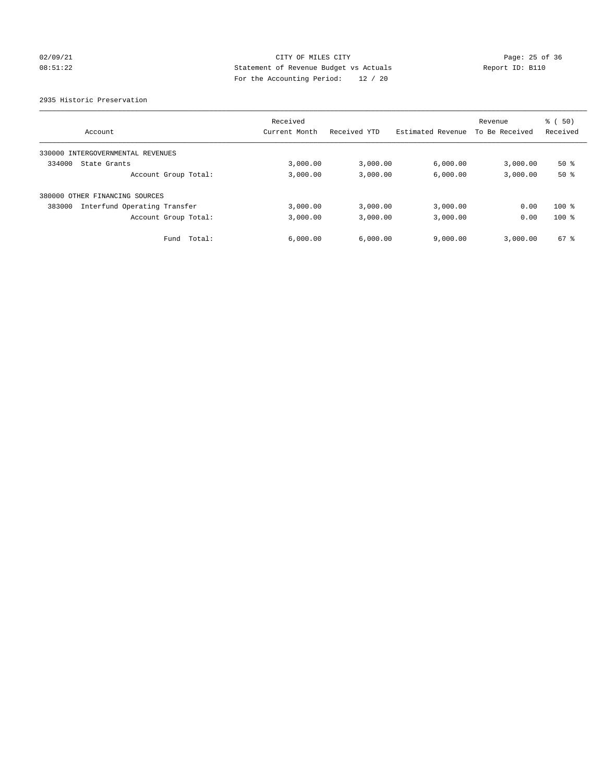## 02/09/21 Page: 25 of 36 08:51:22 Statement of Revenue Budget vs Actuals Report ID: B110 For the Accounting Period: 12 / 20

2935 Historic Preservation

|                                        | Received      |              |                   | Revenue        | % (50)   |
|----------------------------------------|---------------|--------------|-------------------|----------------|----------|
| Account                                | Current Month | Received YTD | Estimated Revenue | To Be Received | Received |
| INTERGOVERNMENTAL REVENUES<br>330000   |               |              |                   |                |          |
| 334000<br>State Grants                 | 3,000.00      | 3,000.00     | 6,000.00          | 3,000.00       | $50*$    |
| Account Group Total:                   | 3,000.00      | 3,000.00     | 6,000.00          | 3,000.00       | 50%      |
| 380000 OTHER FINANCING SOURCES         |               |              |                   |                |          |
| 383000<br>Interfund Operating Transfer | 3,000.00      | 3,000.00     | 3,000.00          | 0.00           | $100*$   |
| Account Group Total:                   | 3,000.00      | 3,000.00     | 3,000.00          | 0.00           | $100*$   |
| Total:<br>Fund                         | 6,000.00      | 6,000.00     | 9,000.00          | 3,000.00       | 67 %     |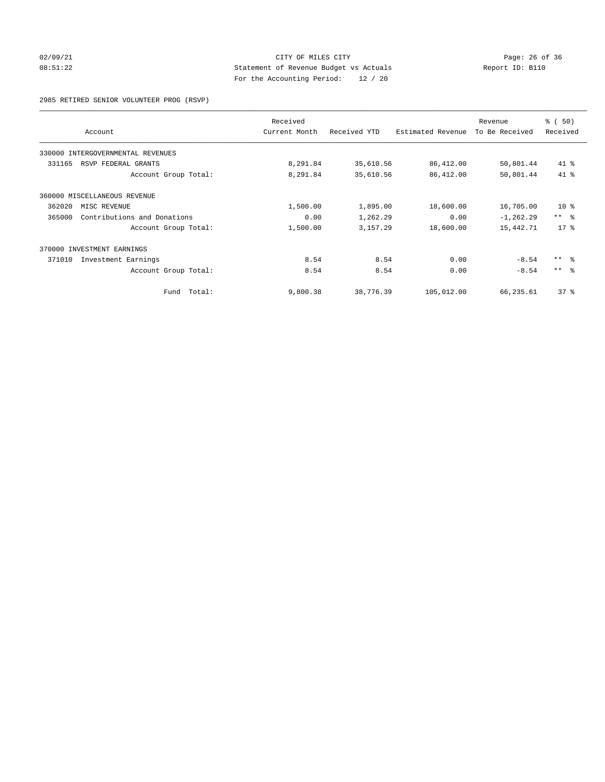## 02/09/21 Page: 26 of 36 08:51:22 Statement of Revenue Budget vs Actuals Report ID: B110 For the Accounting Period: 12 / 20

2985 RETIRED SENIOR VOLUNTEER PROG (RSVP)

|        | Account                           | Received<br>Current Month | Received YTD | Estimated Revenue | Revenue<br>To Be Received | % (50)<br>Received |
|--------|-----------------------------------|---------------------------|--------------|-------------------|---------------------------|--------------------|
|        |                                   |                           |              |                   |                           |                    |
|        | 330000 INTERGOVERNMENTAL REVENUES |                           |              |                   |                           |                    |
| 331165 | RSVP FEDERAL GRANTS               | 8,291.84                  | 35,610.56    | 86,412.00         | 50,801.44                 | 41 %               |
|        | Account Group Total:              | 8,291.84                  | 35,610.56    | 86,412.00         | 50,801.44                 | 41 %               |
|        | 360000 MISCELLANEOUS REVENUE      |                           |              |                   |                           |                    |
| 362020 | MISC REVENUE                      | 1,500.00                  | 1,895.00     | 18,600.00         | 16,705.00                 | $10*$              |
| 365000 | Contributions and Donations       | 0.00                      | 1,262.29     | 0.00              | $-1, 262.29$              | $***$ $-$          |
|        | Account Group Total:              | 1,500.00                  | 3,157.29     | 18,600.00         | 15,442.71                 | 17.8               |
|        | 370000 INVESTMENT EARNINGS        |                           |              |                   |                           |                    |
| 371010 | Investment Earnings               | 8.54                      | 8.54         | 0.00              | $-8.54$                   | $***$ $ -$         |
|        | Account Group Total:              | 8.54                      | 8.54         | 0.00              | $-8.54$                   | $***$ $ -$         |
|        | Fund Total:                       | 9,800.38                  | 38,776.39    | 105,012.00        | 66,235.61                 | 37 <sup>8</sup>    |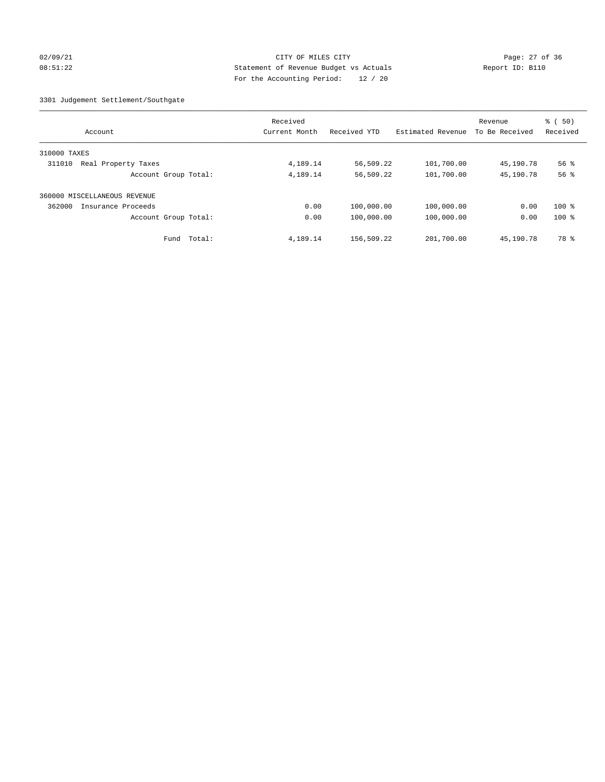## 02/09/21 Page: 27 of 36 08:51:22 Statement of Revenue Budget vs Actuals Report ID: B110 For the Accounting Period: 12 / 20

3301 Judgement Settlement/Southgate

| Account                       | Received<br>Current Month | Received YTD | Estimated Revenue | Revenue<br>To Be Received | $\frac{1}{6}$ (50)<br>Received |
|-------------------------------|---------------------------|--------------|-------------------|---------------------------|--------------------------------|
| 310000 TAXES                  |                           |              |                   |                           |                                |
| 311010<br>Real Property Taxes | 4,189.14                  | 56,509.22    | 101,700.00        | 45,190.78                 | 56 %                           |
| Account Group Total:          | 4,189.14                  | 56,509.22    | 101,700.00        | 45,190.78                 | 56%                            |
| 360000 MISCELLANEOUS REVENUE  |                           |              |                   |                           |                                |
| 362000<br>Insurance Proceeds  | 0.00                      | 100,000.00   | 100,000.00        | 0.00                      | $100*$                         |
| Account Group Total:          | 0.00                      | 100,000.00   | 100,000.00        | 0.00                      | $100*$                         |
| Total:<br>Fund                | 4,189.14                  | 156,509.22   | 201,700.00        | 45,190.78                 | 78 %                           |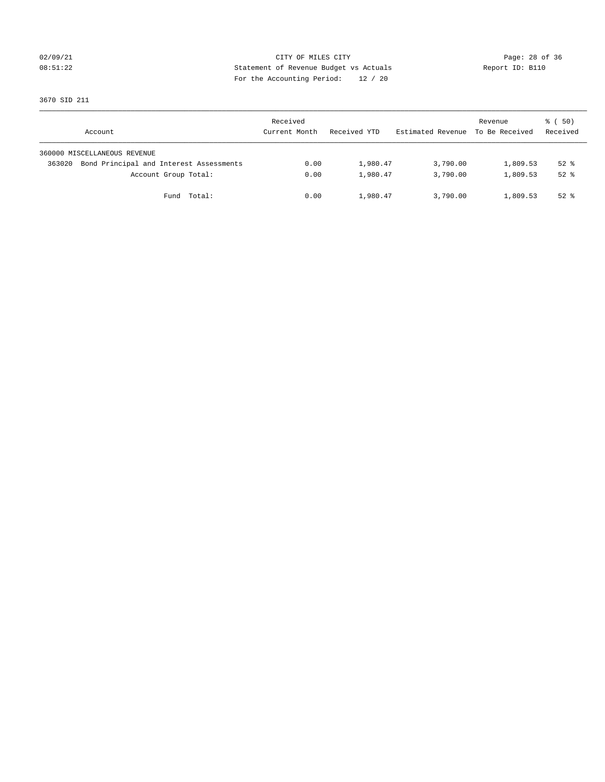## 02/09/21 Page: 28 of 36 08:51:22 Statement of Revenue Budget vs Actuals Report ID: B110 For the Accounting Period: 12 / 20

3670 SID 211

| Account                                           | Received<br>Current Month | Received YTD | Estimated Revenue | Revenue<br>To Be Received | 8 ( 50)<br>Received |
|---------------------------------------------------|---------------------------|--------------|-------------------|---------------------------|---------------------|
| 360000 MISCELLANEOUS REVENUE                      |                           |              |                   |                           |                     |
| Bond Principal and Interest Assessments<br>363020 | 0.00                      | 1,980.47     | 3,790.00          | 1,809.53                  | $52*$               |
| Account Group Total:                              | 0.00                      | 1,980.47     | 3,790.00          | 1,809.53                  | $52*$               |
| Fund Total:                                       | 0.00                      | 1,980.47     | 3,790.00          | 1,809.53                  | $52$ $%$            |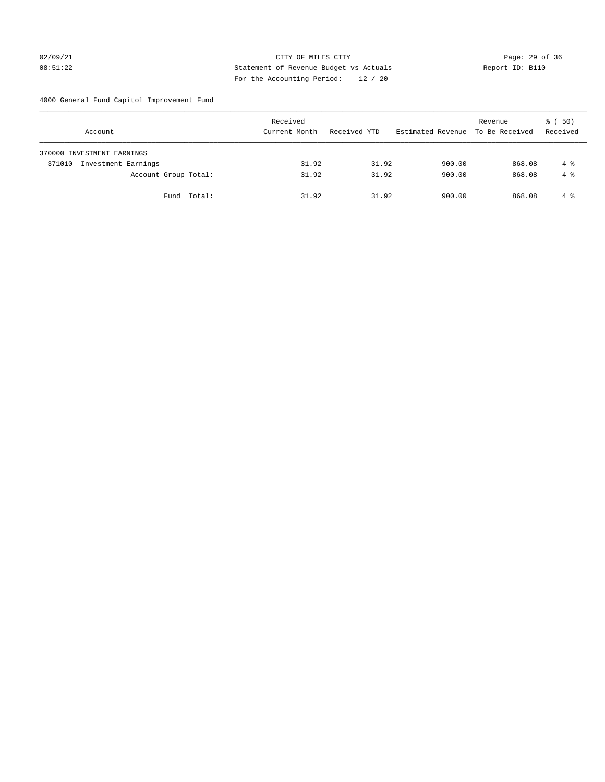# 02/09/21 Page: 29 of 36 08:51:22 Statement of Revenue Budget vs Actuals Report ID: B110 For the Accounting Period: 12 / 20

4000 General Fund Capitol Improvement Fund

| Account                       | Received<br>Current Month | Received YTD | Estimated Revenue | Revenue<br>To Be Received | 8 ( 50)<br>Received |
|-------------------------------|---------------------------|--------------|-------------------|---------------------------|---------------------|
| 370000 INVESTMENT EARNINGS    |                           |              |                   |                           |                     |
| Investment Earnings<br>371010 | 31.92                     | 31.92        | 900.00            | 868.08                    | 4 %                 |
| Account Group Total:          | 31.92                     | 31.92        | 900.00            | 868.08                    | $4 \text{ }$        |
| Fund Total:                   | 31.92                     | 31.92        | 900.00            | 868.08                    | 4 %                 |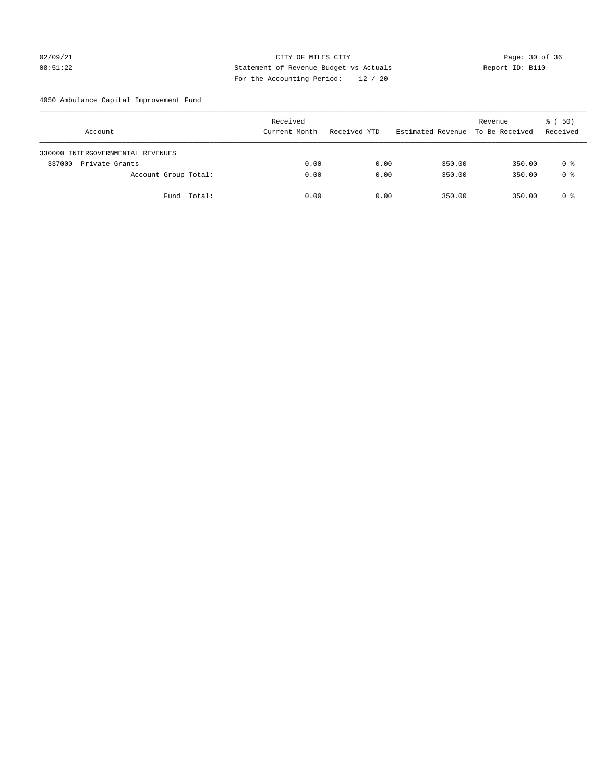# 02/09/21 Page: 30 of 36 Page: 30 of 36 Page: 30 of 36 Page: 30 of 36 Page: 30 of 36 08:51:22 Statement of Revenue Budget vs Actuals Report ID: B110 For the Accounting Period: 12 / 20

4050 Ambulance Capital Improvement Fund

| Account                           | Received<br>Current Month | Received YTD | Estimated Revenue | Revenue<br>To Be Received | 8 ( 50)<br>Received |
|-----------------------------------|---------------------------|--------------|-------------------|---------------------------|---------------------|
| 330000 INTERGOVERNMENTAL REVENUES |                           |              |                   |                           |                     |
| 337000<br>Private Grants          | 0.00                      | 0.00         | 350.00            | 350.00                    | 0 %                 |
| Account Group Total:              | 0.00                      | 0.00         | 350.00            | 350.00                    | 0 <sup>8</sup>      |
| Fund Total:                       | 0.00                      | 0.00         | 350.00            | 350.00                    | 0 %                 |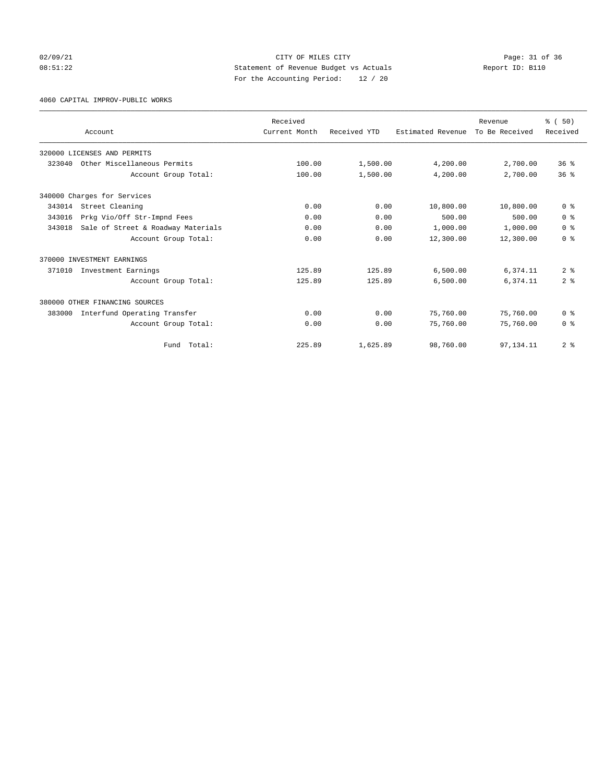## 02/09/21 Page: 31 of 36 Page: 31 of 36 Page: 31 of 36 Page: 31 of 36 Page: 31 of 36 08:51:22 Statement of Revenue Budget vs Actuals Report ID: B110 For the Accounting Period: 12 / 20

4060 CAPITAL IMPROV-PUBLIC WORKS

|        |                                    | Received      |              |                   | Revenue        | % (50)          |
|--------|------------------------------------|---------------|--------------|-------------------|----------------|-----------------|
|        | Account                            | Current Month | Received YTD | Estimated Revenue | To Be Received | Received        |
|        | 320000 LICENSES AND PERMITS        |               |              |                   |                |                 |
| 323040 | Other Miscellaneous Permits        | 100.00        | 1,500.00     | 4,200.00          | 2,700.00       | 36 <sup>8</sup> |
|        | Account Group Total:               | 100.00        | 1,500.00     | 4,200.00          | 2,700.00       | 36 <sup>8</sup> |
|        | 340000 Charges for Services        |               |              |                   |                |                 |
| 343014 | Street Cleaning                    | 0.00          | 0.00         | 10,800.00         | 10,800.00      | 0 <sup>8</sup>  |
| 343016 | Prkg Vio/Off Str-Impnd Fees        | 0.00          | 0.00         | 500.00            | 500.00         | 0 <sup>8</sup>  |
| 343018 | Sale of Street & Roadway Materials | 0.00          | 0.00         | 1,000.00          | 1,000.00       | 0 <sup>8</sup>  |
|        | Account Group Total:               | 0.00          | 0.00         | 12,300.00         | 12,300.00      | 0 <sup>8</sup>  |
|        | 370000 INVESTMENT EARNINGS         |               |              |                   |                |                 |
| 371010 | Investment Earnings                | 125.89        | 125.89       | 6,500.00          | 6,374.11       | 2 <sup>8</sup>  |
|        | Account Group Total:               | 125.89        | 125.89       | 6,500.00          | 6,374.11       | 2 <sup>8</sup>  |
|        | 380000 OTHER FINANCING SOURCES     |               |              |                   |                |                 |
| 383000 | Interfund Operating Transfer       | 0.00          | 0.00         | 75,760.00         | 75,760.00      | 0 <sup>8</sup>  |
|        | Account Group Total:               | 0.00          | 0.00         | 75,760.00         | 75,760.00      | 0 <sup>8</sup>  |
|        | Fund Total:                        | 225.89        | 1,625.89     | 98,760.00         | 97, 134. 11    | 2 <sup>8</sup>  |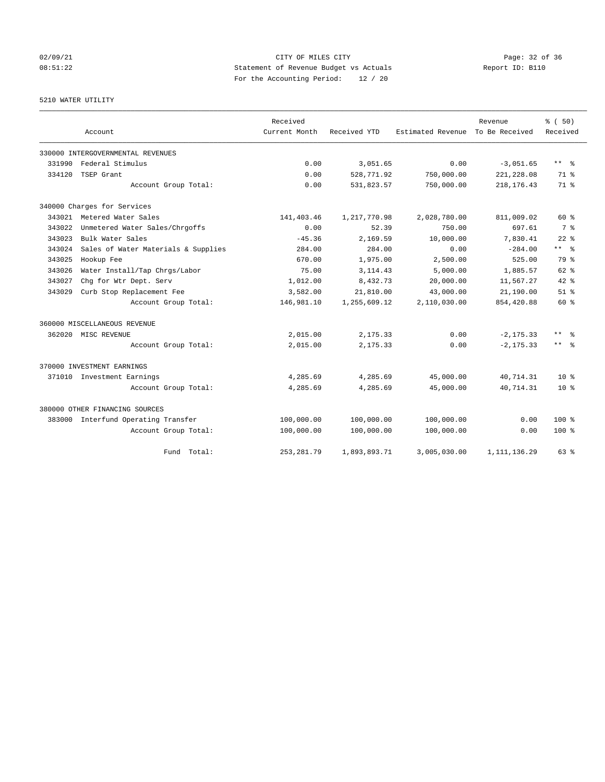# 02/09/21 CITY OF MILES CITY CHECK CONTROL Page: 32 of 36 08:51:22 Statement of Revenue Budget vs Actuals Report ID: B110 For the Accounting Period: 12 / 20

# 5210 WATER UTILITY

|        | Account                             | Received<br>Current Month | Received YTD | Estimated Revenue | Revenue<br>To Be Received | % (50)<br>Received      |
|--------|-------------------------------------|---------------------------|--------------|-------------------|---------------------------|-------------------------|
|        |                                     |                           |              |                   |                           |                         |
|        | 330000 INTERGOVERNMENTAL REVENUES   |                           |              |                   |                           |                         |
| 331990 | Federal Stimulus                    | 0.00                      | 3,051.65     | 0.00              | $-3,051.65$               | $***$ $=$ $\frac{6}{5}$ |
| 334120 | TSEP Grant                          | 0.00                      | 528,771.92   | 750,000.00        | 221, 228.08               | $71*$                   |
|        | Account Group Total:                | 0.00                      | 531,823.57   | 750,000.00        | 218, 176. 43              | 71 %                    |
|        | 340000 Charges for Services         |                           |              |                   |                           |                         |
| 343021 | Metered Water Sales                 | 141, 403.46               | 1,217,770.98 | 2,028,780.00      | 811,009.02                | 60 %                    |
| 343022 | Unmetered Water Sales/Chrgoffs      | 0.00                      | 52.39        | 750.00            | 697.61                    | 7 %                     |
| 343023 | Bulk Water Sales                    | $-45.36$                  | 2,169.59     | 10,000.00         | 7,830.41                  | $22$ $%$                |
| 343024 | Sales of Water Materials & Supplies | 284.00                    | 284.00       | 0.00              | $-284.00$                 | $***$ $ -$              |
| 343025 | Hookup Fee                          | 670.00                    | 1,975.00     | 2,500.00          | 525.00                    | 79 %                    |
| 343026 | Water Install/Tap Chrgs/Labor       | 75.00                     | 3, 114.43    | 5,000.00          | 1,885.57                  | $62$ $%$                |
| 343027 | Chg for Wtr Dept. Serv              | 1,012.00                  | 8,432.73     | 20,000.00         | 11,567.27                 | $42*$                   |
| 343029 | Curb Stop Replacement Fee           | 3,582.00                  | 21,810.00    | 43,000.00         | 21,190.00                 | $51$ %                  |
|        | Account Group Total:                | 146,981.10                | 1,255,609.12 | 2,110,030.00      | 854,420.88                | 60 %                    |
|        | 360000 MISCELLANEOUS REVENUE        |                           |              |                   |                           |                         |
|        | 362020 MISC REVENUE                 | 2,015.00                  | 2,175.33     | 0.00              | $-2, 175.33$              | $***$<br>- 옹            |
|        | Account Group Total:                | 2,015.00                  | 2,175.33     | 0.00              | $-2, 175.33$              | $***$ 8                 |
|        | 370000 INVESTMENT EARNINGS          |                           |              |                   |                           |                         |
|        | 371010 Investment Earnings          | 4,285.69                  | 4,285.69     | 45,000.00         | 40,714.31                 | $10*$                   |
|        | Account Group Total:                | 4,285.69                  | 4,285.69     | 45,000.00         | 40,714.31                 | $10*$                   |
|        | 380000 OTHER FINANCING SOURCES      |                           |              |                   |                           |                         |
| 383000 | Interfund Operating Transfer        | 100,000.00                | 100,000.00   | 100,000.00        | 0.00                      | 100 <sub>8</sub>        |
|        | Account Group Total:                | 100,000.00                | 100,000.00   | 100,000.00        | 0.00                      | $100*$                  |
|        | Total:<br>Fund                      | 253, 281.79               | 1,893,893.71 | 3,005,030.00      | 1, 111, 136.29            | 63%                     |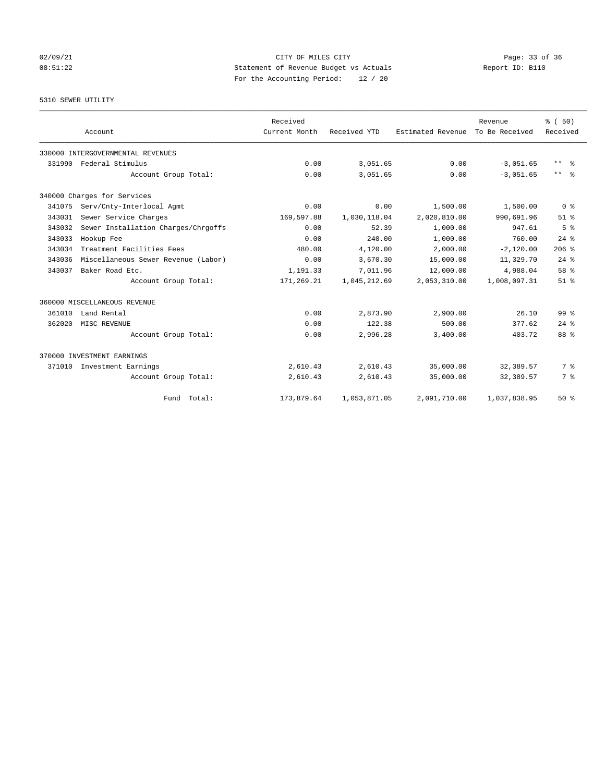## 02/09/21 Page: 33 of 36 Page: 33 of 36 Page: 33 of 36 Page: 33 of 36 Page: 33 of 36 Page: 33 of 36 Page: 33 of 36 08:51:22 Statement of Revenue Budget vs Actuals Report ID: B110 For the Accounting Period: 12 / 20

# 5310 SEWER UTILITY

|        | Account                             | Received<br>Current Month | Received YTD | Estimated Revenue | Revenue<br>To Be Received | % (50)<br>Received      |
|--------|-------------------------------------|---------------------------|--------------|-------------------|---------------------------|-------------------------|
|        |                                     |                           |              |                   |                           |                         |
|        | 330000 INTERGOVERNMENTAL REVENUES   |                           |              |                   |                           |                         |
| 331990 | Federal Stimulus                    | 0.00                      | 3,051.65     | 0.00              | $-3,051.65$               | $***$ $=$ $\frac{6}{5}$ |
|        | Account Group Total:                | 0.00                      | 3,051.65     | 0.00              | $-3.051.65$               | $***$ $=$               |
|        | 340000 Charges for Services         |                           |              |                   |                           |                         |
| 341075 | Serv/Cnty-Interlocal Agmt           | 0.00                      | 0.00         | 1,500.00          | 1,500.00                  | 0 <sup>8</sup>          |
| 343031 | Sewer Service Charges               | 169,597.88                | 1,030,118.04 | 2,020,810.00      | 990,691.96                | $51$ $%$                |
| 343032 | Sewer Installation Charges/Chrgoffs | 0.00                      | 52.39        | 1,000.00          | 947.61                    | 5 <sup>8</sup>          |
| 343033 | Hookup Fee                          | 0.00                      | 240.00       | 1,000.00          | 760.00                    | $24$ $%$                |
| 343034 | Treatment Facilities Fees           | 480.00                    | 4,120.00     | 2,000.00          | $-2,120.00$               | $206$ %                 |
| 343036 | Miscellaneous Sewer Revenue (Labor) | 0.00                      | 3,670.30     | 15,000.00         | 11,329.70                 | $24$ $%$                |
| 343037 | Baker Road Etc.                     | 1,191.33                  | 7,011.96     | 12,000.00         | 4,988.04                  | 58 %                    |
|        | Account Group Total:                | 171,269.21                | 1,045,212.69 | 2,053,310.00      | 1,008,097.31              | $51$ $%$                |
|        | 360000 MISCELLANEOUS REVENUE        |                           |              |                   |                           |                         |
| 361010 | Land Rental                         | 0.00                      | 2,873.90     | 2,900.00          | 26.10                     | 99 <sup>8</sup>         |
| 362020 | MISC REVENUE                        | 0.00                      | 122.38       | 500.00            | 377.62                    | $24$ $%$                |
|        | Account Group Total:                | 0.00                      | 2,996.28     | 3,400.00          | 403.72                    | 88 %                    |
|        | 370000 INVESTMENT EARNINGS          |                           |              |                   |                           |                         |
| 371010 | Investment Earnings                 | 2,610.43                  | 2,610.43     | 35,000.00         | 32,389.57                 | 7 %                     |
|        | Account Group Total:                | 2,610.43                  | 2,610.43     | 35,000.00         | 32,389.57                 | 7 %                     |
|        | Fund Total:                         | 173,879.64                | 1,053,871.05 | 2,091,710.00      | 1,037,838.95              | $50*$                   |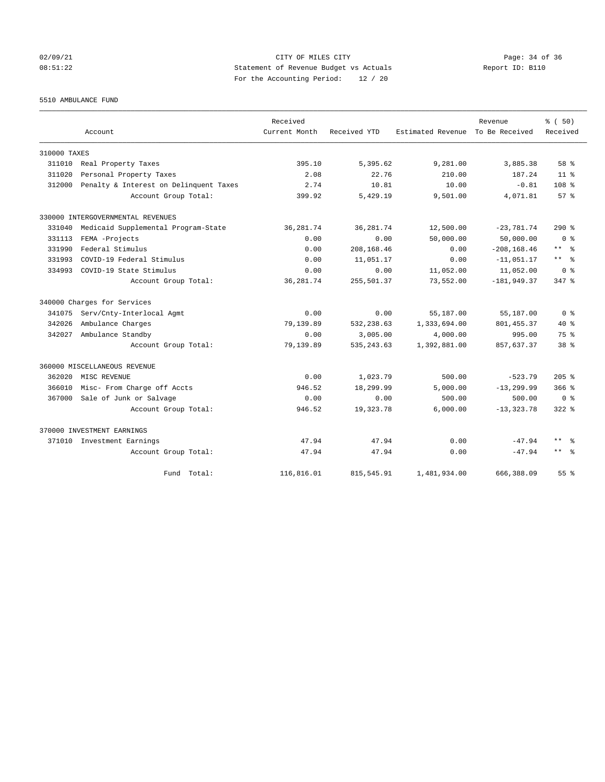## 02/09/21 Page: 34 of 36 08:51:22 Statement of Revenue Budget vs Actuals Report ID: B110 For the Accounting Period: 12 / 20

5510 AMBULANCE FUND

|              |                                        | Received      |              |                   | Revenue        | % (50)              |
|--------------|----------------------------------------|---------------|--------------|-------------------|----------------|---------------------|
|              | Account                                | Current Month | Received YTD | Estimated Revenue | To Be Received | Received            |
| 310000 TAXES |                                        |               |              |                   |                |                     |
|              | 311010 Real Property Taxes             | 395.10        | 5,395.62     | 9,281.00          | 3,885.38       | 58 %                |
| 311020       | Personal Property Taxes                | 2.08          | 22.76        | 210.00            | 187.24         | $11*$               |
| 312000       | Penalty & Interest on Delinquent Taxes | 2.74          | 10.81        | 10.00             | $-0.81$        | 108 <sup>8</sup>    |
|              | Account Group Total:                   | 399.92        | 5,429.19     | 9,501.00          | 4,071.81       | 57%                 |
|              | 330000 INTERGOVERNMENTAL REVENUES      |               |              |                   |                |                     |
| 331040       | Medicaid Supplemental Program-State    | 36, 281.74    | 36, 281.74   | 12,500.00         | $-23,781.74$   | $290*$              |
| 331113       | FEMA -Projects                         | 0.00          | 0.00         | 50,000.00         | 50,000.00      | 0 <sup>8</sup>      |
| 331990       | Federal Stimulus                       | 0.00          | 208,168.46   | 0.00              | $-208, 168.46$ | $***$ $-$           |
| 331993       | COVID-19 Federal Stimulus              | 0.00          | 11,051.17    | 0.00              | $-11,051.17$   | $\star\star$<br>- % |
| 334993       | COVID-19 State Stimulus                | 0.00          | 0.00         | 11,052.00         | 11,052.00      | 0 <sup>8</sup>      |
|              | Account Group Total:                   | 36, 281.74    | 255,501.37   | 73,552.00         | $-181,949.37$  | $347$ $%$           |
|              | 340000 Charges for Services            |               |              |                   |                |                     |
| 341075       | Serv/Cnty-Interlocal Agmt              | 0.00          | 0.00         | 55,187.00         | 55,187.00      | 0 <sup>8</sup>      |
| 342026       | Ambulance Charges                      | 79,139.89     | 532,238.63   | 1,333,694.00      | 801, 455.37    | $40*$               |
| 342027       | Ambulance Standby                      | 0.00          | 3,005.00     | 4,000.00          | 995.00         | $75*$               |
|              | Account Group Total:                   | 79,139.89     | 535, 243.63  | 1,392,881.00      | 857,637.37     | 38 <sup>8</sup>     |
|              | 360000 MISCELLANEOUS REVENUE           |               |              |                   |                |                     |
| 362020       | MISC REVENUE                           | 0.00          | 1,023.79     | 500.00            | $-523.79$      | $205$ %             |
| 366010       | Misc- From Charge off Accts            | 946.52        | 18,299.99    | 5,000.00          | $-13, 299.99$  | $366$ $%$           |
| 367000       | Sale of Junk or Salvage                | 0.00          | 0.00         | 500.00            | 500.00         | 0 <sup>8</sup>      |
|              | Account Group Total:                   | 946.52        | 19, 323. 78  | 6,000.00          | $-13, 323.78$  | $322$ $%$           |
|              | 370000 INVESTMENT EARNINGS             |               |              |                   |                |                     |
|              | 371010 Investment Earnings             | 47.94         | 47.94        | 0.00              | $-47.94$       | $\star\star$<br>- 왕 |
|              | Account Group Total:                   | 47.94         | 47.94        | 0.00              | $-47.94$       | $***$ $ -$          |
|              | Fund Total:                            | 116,816.01    | 815, 545.91  | 1,481,934.00      | 666, 388, 09   | 55 <sup>8</sup>     |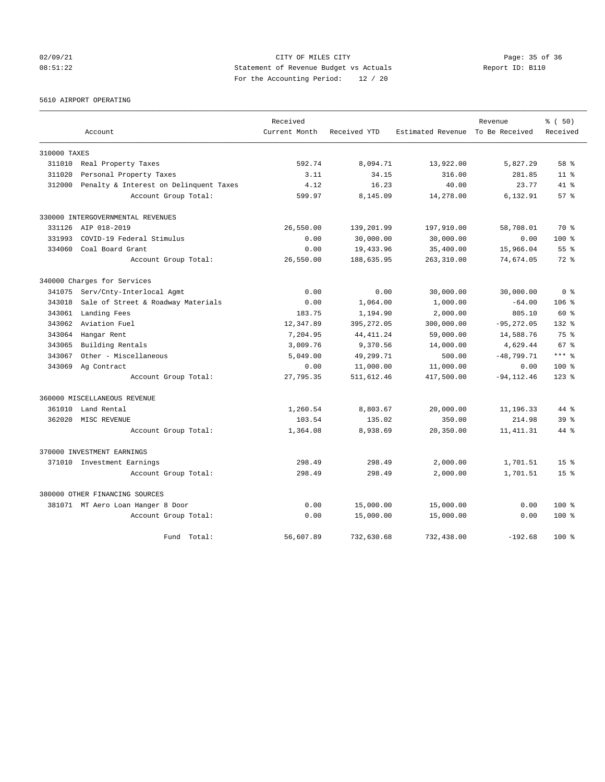## 02/09/21 Page: 35 of 36 Page: 35 of 36 Page: 35 of 36 Page: 35 of 36 Page: 35 of 36 Page: 35 of 36 Page: 35 of 36 08:51:22 Statement of Revenue Budget vs Actuals Report ID: B110 For the Accounting Period: 12 / 20

5610 AIRPORT OPERATING

|              |                                        | Received      |              |                                  | Revenue       | % (50)          |
|--------------|----------------------------------------|---------------|--------------|----------------------------------|---------------|-----------------|
|              | Account                                | Current Month | Received YTD | Estimated Revenue To Be Received |               | Received        |
| 310000 TAXES |                                        |               |              |                                  |               |                 |
| 311010       | Real Property Taxes                    | 592.74        | 8,094.71     | 13,922.00                        | 5,827.29      | 58 %            |
| 311020       | Personal Property Taxes                | 3.11          | 34.15        | 316.00                           | 281.85        | 11 <sup>8</sup> |
| 312000       | Penalty & Interest on Delinquent Taxes | 4.12          | 16.23        | 40.00                            | 23.77         | $41*$           |
|              | Account Group Total:                   | 599.97        | 8,145.09     | 14,278.00                        | 6,132.91      | $57*$           |
|              | 330000 INTERGOVERNMENTAL REVENUES      |               |              |                                  |               |                 |
|              | 331126 AIP 018-2019                    | 26,550.00     | 139,201.99   | 197,910.00                       | 58,708.01     | 70 %            |
| 331993       | COVID-19 Federal Stimulus              | 0.00          | 30,000.00    | 30,000.00                        | 0.00          | $100$ %         |
| 334060       | Coal Board Grant                       | 0.00          | 19,433.96    | 35,400.00                        | 15,966.04     | 55 %            |
|              | Account Group Total:                   | 26,550.00     | 188,635.95   | 263,310.00                       | 74,674.05     | $72*$           |
|              | 340000 Charges for Services            |               |              |                                  |               |                 |
| 341075       | Serv/Cnty-Interlocal Agmt              | 0.00          | 0.00         | 30,000.00                        | 30,000.00     | 0 <sup>8</sup>  |
| 343018       | Sale of Street & Roadway Materials     | 0.00          | 1,064.00     | 1,000.00                         | $-64.00$      | 106 %           |
| 343061       | Landing Fees                           | 183.75        | 1,194.90     | 2,000.00                         | 805.10        | 60 %            |
| 343062       | Aviation Fuel                          | 12,347.89     | 395, 272.05  | 300,000.00                       | $-95, 272.05$ | $132*$          |
| 343064       | Hangar Rent                            | 7,204.95      | 44, 411.24   | 59,000.00                        | 14,588.76     | $75*$           |
| 343065       | Building Rentals                       | 3,009.76      | 9,370.56     | 14,000.00                        | 4,629.44      | 67 %            |
| 343067       | Other - Miscellaneous                  | 5,049.00      | 49,299.71    | 500.00                           | $-48,799.71$  | $***$ %         |
| 343069       | Ag Contract                            | 0.00          | 11,000.00    | 11,000.00                        | 0.00          | $100*$          |
|              | Account Group Total:                   | 27,795.35     | 511,612.46   | 417,500.00                       | $-94, 112.46$ | $123$ $%$       |
|              | 360000 MISCELLANEOUS REVENUE           |               |              |                                  |               |                 |
| 361010       | Land Rental                            | 1,260.54      | 8,803.67     | 20,000.00                        | 11, 196.33    | 44 %            |
| 362020       | MISC REVENUE                           | 103.54        | 135.02       | 350.00                           | 214.98        | 39 <sup>8</sup> |
|              | Account Group Total:                   | 1,364.08      | 8,938.69     | 20,350.00                        | 11, 411.31    | 44 %            |
|              | 370000 INVESTMENT EARNINGS             |               |              |                                  |               |                 |
|              | 371010 Investment Earnings             | 298.49        | 298.49       | 2,000.00                         | 1,701.51      | 15 <sup>8</sup> |
|              | Account Group Total:                   | 298.49        | 298.49       | 2,000.00                         | 1,701.51      | 15 <sup>8</sup> |
|              | 380000 OTHER FINANCING SOURCES         |               |              |                                  |               |                 |
|              | 381071 MT Aero Loan Hanger 8 Door      | 0.00          | 15,000.00    | 15,000.00                        | 0.00          | $100$ %         |
|              | Account Group Total:                   | 0.00          | 15,000.00    | 15,000.00                        | 0.00          | $100$ %         |
|              | Fund Total:                            | 56,607.89     | 732,630.68   | 732,438.00                       | $-192.68$     | $100*$          |